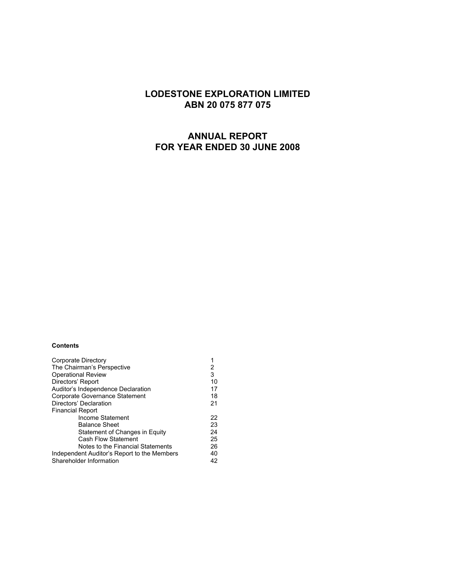# **LODESTONE EXPLORATION LIMITED ABN 20 075 877 075**

# **ANNUAL REPORT FOR YEAR ENDED 30 JUNE 2008**

### **Contents**

| Corporate Directory                         |    |
|---------------------------------------------|----|
| The Chairman's Perspective                  | 2  |
| <b>Operational Review</b>                   | 3  |
| Directors' Report                           | 10 |
| Auditor's Independence Declaration          | 17 |
| Corporate Governance Statement              | 18 |
| Directors' Declaration                      | 21 |
| <b>Financial Report</b>                     |    |
| Income Statement                            | 22 |
| <b>Balance Sheet</b>                        | 23 |
| Statement of Changes in Equity              | 24 |
| <b>Cash Flow Statement</b>                  | 25 |
| Notes to the Financial Statements           | 26 |
| Independent Auditor's Report to the Members | 40 |
| Shareholder Information                     | 42 |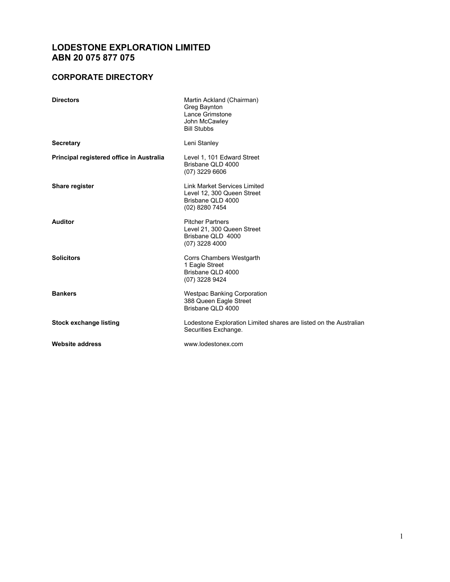# **LODESTONE EXPLORATION LIMITED ABN 20 075 877 075**

# **CORPORATE DIRECTORY**

| <b>Directors</b>                         | Martin Ackland (Chairman)<br>Greg Baynton<br>Lance Grimstone<br>John McCawley<br><b>Bill Stubbs</b> |
|------------------------------------------|-----------------------------------------------------------------------------------------------------|
| <b>Secretary</b>                         | Leni Stanley                                                                                        |
| Principal registered office in Australia | Level 1, 101 Edward Street<br>Brisbane QLD 4000<br>$(07)$ 3229 6606                                 |
| Share register                           | Link Market Services Limited<br>Level 12, 300 Queen Street<br>Brisbane QLD 4000<br>(02) 8280 7454   |
| <b>Auditor</b>                           | <b>Pitcher Partners</b><br>Level 21, 300 Queen Street<br>Brisbane QLD 4000<br>(07) 3228 4000        |
| <b>Solicitors</b>                        | Corrs Chambers Westgarth<br>1 Eagle Street<br>Brisbane QLD 4000<br>(07) 3228 9424                   |
| <b>Bankers</b>                           | <b>Westpac Banking Corporation</b><br>388 Queen Eagle Street<br>Brisbane QLD 4000                   |
| <b>Stock exchange listing</b>            | Lodestone Exploration Limited shares are listed on the Australian<br>Securities Exchange.           |
| <b>Website address</b>                   | www.lodestonex.com                                                                                  |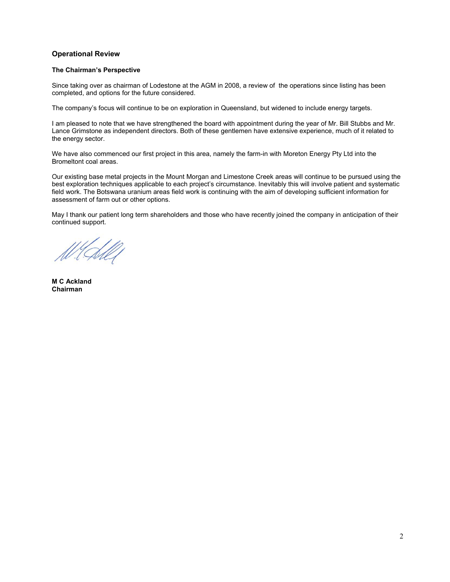## **Operational Review**

### **The Chairman's Perspective**

Since taking over as chairman of Lodestone at the AGM in 2008, a review of the operations since listing has been completed, and options for the future considered.

The company's focus will continue to be on exploration in Queensland, but widened to include energy targets.

I am pleased to note that we have strengthened the board with appointment during the year of Mr. Bill Stubbs and Mr. Lance Grimstone as independent directors. Both of these gentlemen have extensive experience, much of it related to the energy sector.

We have also commenced our first project in this area, namely the farm-in with Moreton Energy Pty Ltd into the Bromeltont coal areas.

Our existing base metal projects in the Mount Morgan and Limestone Creek areas will continue to be pursued using the best exploration techniques applicable to each project's circumstance. Inevitably this will involve patient and systematic field work. The Botswana uranium areas field work is continuing with the aim of developing sufficient information for assessment of farm out or other options.

May I thank our patient long term shareholders and those who have recently joined the company in anticipation of their continued support.

**M C Ackland Chairman**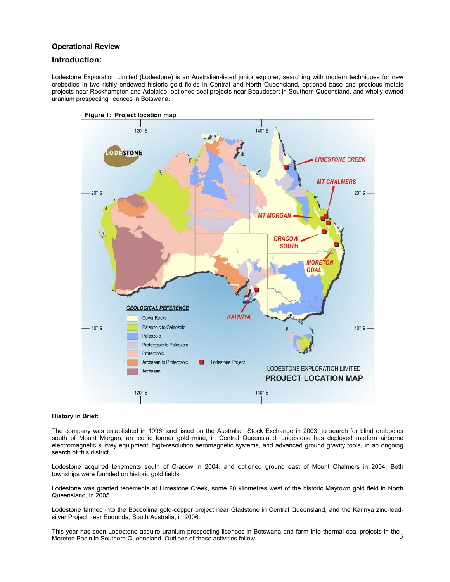## **Operational Review**

## **Introduction:**

Lodestone Exploration Limited (Lodestone) is an Australian-listed junior explorer, searching with modern techniques for new orebodies in two richly endowed historic gold fields in Central and North Queensland, optioned base and precious metals projects near Rockhampton and Adelaide, optioned coal projects near Beaudesert in Southern Queensland, and wholly-owned uranium prospecting licences in Botswana.



### **History in Brief:**

The company was established in 1996, and listed on the Australian Stock Exchange in 2003, to search for blind orebodies south of Mount Morgan, an iconic former gold mine, in Central Queensland. Lodestone has deployed modern airborne electromagnetic survey equipment, high-resolution aeromagnetic systems, and advanced ground gravity tools, in an ongoing search of this district.

Lodestone acquired tenements south of Cracow in 2004, and optioned ground east of Mount Chalmers in 2004. Both townships were founded on historic gold fields.

Lodestone was granted tenements at Limestone Creek, some 20 kilometres west of the historic Maytown gold field in North Queensland, in 2005.

Lodestone farmed into the Bocoolima gold-copper project near Gladstone in Central Queensland, and the Karinya zinc-leadsilver Project near Eudunda, South Australia, in 2006.

This year has seen Lodestone acquire uranium prospecting licences in Botswana and farm into thermal coal projects in the<br>Moreton Basin in Southern Queensland, Qutlines of these activities follow Moreton Basin in Southern Queensland. Outlines of these activities follow.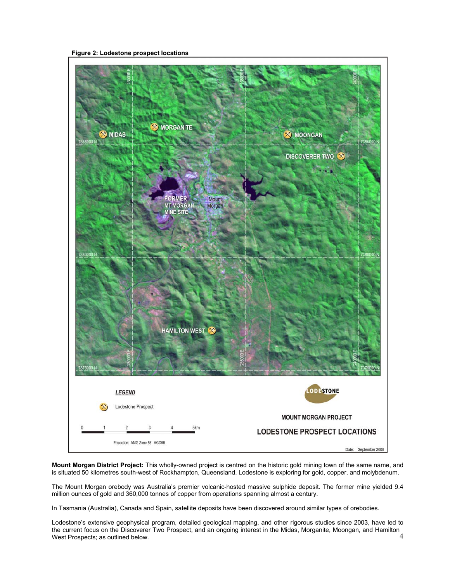**Figure 2: Lodestone prospect locations** 



**Mount Morgan District Project:** This wholly-owned project is centred on the historic gold mining town of the same name, and is situated 50 kilometres south-west of Rockhampton, Queensland. Lodestone is exploring for gold, copper, and molybdenum.

The Mount Morgan orebody was Australia's premier volcanic-hosted massive sulphide deposit. The former mine yielded 9.4 million ounces of gold and 360,000 tonnes of copper from operations spanning almost a century.

In Tasmania (Australia), Canada and Spain, satellite deposits have been discovered around similar types of orebodies.

4 Lodestone's extensive geophysical program, detailed geological mapping, and other rigorous studies since 2003, have led to the current focus on the Discoverer Two Prospect, and an ongoing interest in the Midas, Morganite, Moongan, and Hamilton West Prospects; as outlined below.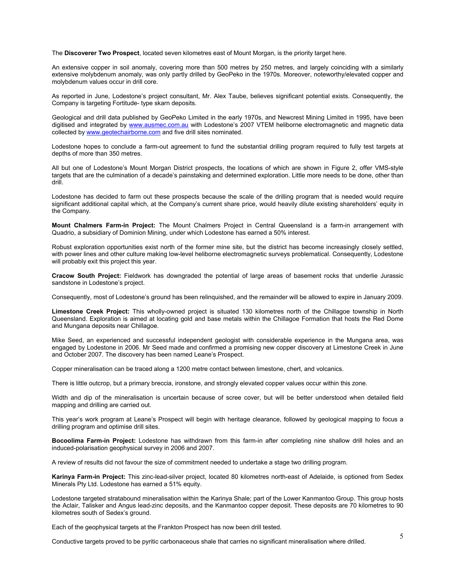The **Discoverer Two Prospect**, located seven kilometres east of Mount Morgan, is the priority target here.

An extensive copper in soil anomaly, covering more than 500 metres by 250 metres, and largely coinciding with a similarly extensive molybdenum anomaly, was only partly drilled by GeoPeko in the 1970s. Moreover, noteworthy/elevated copper and molybdenum values occur in drill core.

As reported in June, Lodestone's project consultant, Mr. Alex Taube, believes significant potential exists. Consequently, the Company is targeting Fortitude- type skarn deposits.

Geological and drill data published by GeoPeko Limited in the early 1970s, and Newcrest Mining Limited in 1995, have been digitised and integrated by www.ausmec.com.au with Lodestone's 2007 VTEM heliborne electromagnetic and magnetic data collected by www.geotechairborne.com and five drill sites nominated.

Lodestone hopes to conclude a farm-out agreement to fund the substantial drilling program required to fully test targets at depths of more than 350 metres.

All but one of Lodestone's Mount Morgan District prospects, the locations of which are shown in Figure 2, offer VMS-style targets that are the culmination of a decade's painstaking and determined exploration. Little more needs to be done, other than drill.

Lodestone has decided to farm out these prospects because the scale of the drilling program that is needed would require significant additional capital which, at the Company's current share price, would heavily dilute existing shareholders' equity in the Company.

 **Mount Chalmers Farm-in Project:** The Mount Chalmers Project in Central Queensland is a farm-in arrangement with Quadrio, a subsidiary of Dominion Mining, under which Lodestone has earned a 50% interest.

Robust exploration opportunities exist north of the former mine site, but the district has become increasingly closely settled, with power lines and other culture making low-level heliborne electromagnetic surveys problematical. Consequently, Lodestone will probably exit this project this year.

**Cracow South Project:** Fieldwork has downgraded the potential of large areas of basement rocks that underlie Jurassic sandstone in Lodestone's project.

Consequently, most of Lodestone's ground has been relinquished, and the remainder will be allowed to expire in January 2009.

**Limestone Creek Project:** This wholly-owned project is situated 130 kilometres north of the Chillagoe township in North Queensland. Exploration is aimed at locating gold and base metals within the Chillagoe Formation that hosts the Red Dome and Mungana deposits near Chillagoe.

Mike Seed, an experienced and successful independent geologist with considerable experience in the Mungana area, was engaged by Lodestone in 2006. Mr Seed made and confirmed a promising new copper discovery at Limestone Creek in June and October 2007. The discovery has been named Leane's Prospect.

Copper mineralisation can be traced along a 1200 metre contact between limestone, chert, and volcanics.

There is little outcrop, but a primary breccia, ironstone, and strongly elevated copper values occur within this zone.

Width and dip of the mineralisation is uncertain because of scree cover, but will be better understood when detailed field mapping and drilling are carried out.

This year's work program at Leane's Prospect will begin with heritage clearance, followed by geological mapping to focus a drilling program and optimise drill sites.

**Bocoolima Farm-in Project:** Lodestone has withdrawn from this farm-in after completing nine shallow drill holes and an induced-polarisation geophysical survey in 2006 and 2007.

A review of results did not favour the size of commitment needed to undertake a stage two drilling program.

**Karinya Farm-in Project:** This zinc-lead-silver project, located 80 kilometres north-east of Adelaide, is optioned from Sedex Minerals Pty Ltd. Lodestone has earned a 51% equity.

Lodestone targeted stratabound mineralisation within the Karinya Shale; part of the Lower Kanmantoo Group. This group hosts the Aclair, Talisker and Angus lead-zinc deposits, and the Kanmantoo copper deposit. These deposits are 70 kilometres to 90 kilometres south of Sedex's ground.

Each of the geophysical targets at the Frankton Prospect has now been drill tested.

Conductive targets proved to be pyritic carbonaceous shale that carries no significant mineralisation where drilled.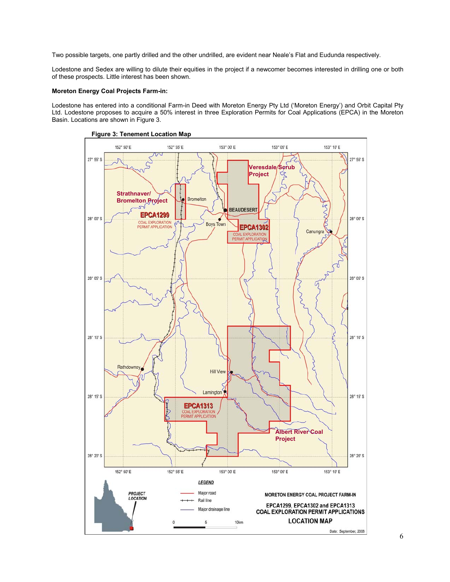Two possible targets, one partly drilled and the other undrilled, are evident near Neale's Flat and Eudunda respectively.

Lodestone and Sedex are willing to dilute their equities in the project if a newcomer becomes interested in drilling one or both of these prospects. Little interest has been shown.

### **Moreton Energy Coal Projects Farm-in:**

Lodestone has entered into a conditional Farm-in Deed with Moreton Energy Pty Ltd ('Moreton Energy') and Orbit Capital Pty Ltd. Lodestone proposes to acquire a 50% interest in three Exploration Permits for Coal Applications (EPCA) in the Moreton Basin. Locations are shown in Figure 3.

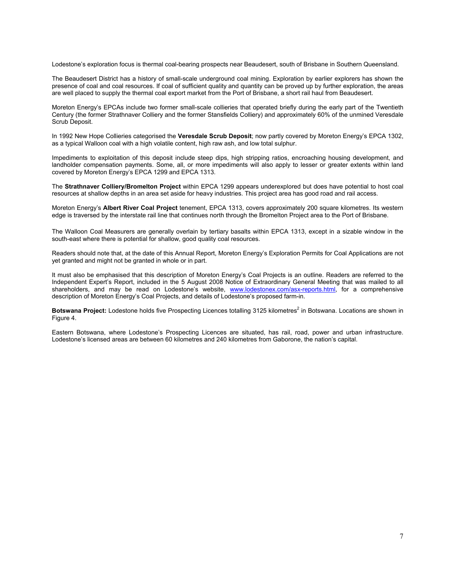Lodestone's exploration focus is thermal coal-bearing prospects near Beaudesert, south of Brisbane in Southern Queensland.

The Beaudesert District has a history of small-scale underground coal mining. Exploration by earlier explorers has shown the presence of coal and coal resources. If coal of sufficient quality and quantity can be proved up by further exploration, the areas are well placed to supply the thermal coal export market from the Port of Brisbane, a short rail haul from Beaudesert.

Moreton Energy's EPCAs include two former small-scale collieries that operated briefly during the early part of the Twentieth Century (the former Strathnaver Colliery and the former Stansfields Colliery) and approximately 60% of the unmined Veresdale Scrub Deposit.

In 1992 New Hope Collieries categorised the **Veresdale Scrub Deposit**; now partly covered by Moreton Energy's EPCA 1302, as a typical Walloon coal with a high volatile content, high raw ash, and low total sulphur.

Impediments to exploitation of this deposit include steep dips, high stripping ratios, encroaching housing development, and landholder compensation payments. Some, all, or more impediments will also apply to lesser or greater extents within land covered by Moreton Energy's EPCA 1299 and EPCA 1313.

The **Strathnaver Colliery/Bromelton Project** within EPCA 1299 appears underexplored but does have potential to host coal resources at shallow depths in an area set aside for heavy industries. This project area has good road and rail access.

Moreton Energy's **Albert River Coal Project** tenement, EPCA 1313, covers approximately 200 square kilometres. Its western edge is traversed by the interstate rail line that continues north through the Bromelton Project area to the Port of Brisbane.

The Walloon Coal Measurers are generally overlain by tertiary basalts within EPCA 1313, except in a sizable window in the south-east where there is potential for shallow, good quality coal resources.

Readers should note that, at the date of this Annual Report, Moreton Energy's Exploration Permits for Coal Applications are not yet granted and might not be granted in whole or in part.

It must also be emphasised that this description of Moreton Energy's Coal Projects is an outline. Readers are referred to the Independent Expert's Report, included in the 5 August 2008 Notice of Extraordinary General Meeting that was mailed to all shareholders, and may be read on Lodestone's website, www.lodestonex.com/asx-reports.html, for a comprehensive description of Moreton Energy's Coal Projects, and details of Lodestone's proposed farm-in.

Botswana Project: Lodestone holds five Prospecting Licences totalling 3125 kilometres<sup>2</sup> in Botswana. Locations are shown in Figure 4.

Eastern Botswana, where Lodestone's Prospecting Licences are situated, has rail, road, power and urban infrastructure. Lodestone's licensed areas are between 60 kilometres and 240 kilometres from Gaborone, the nation's capital.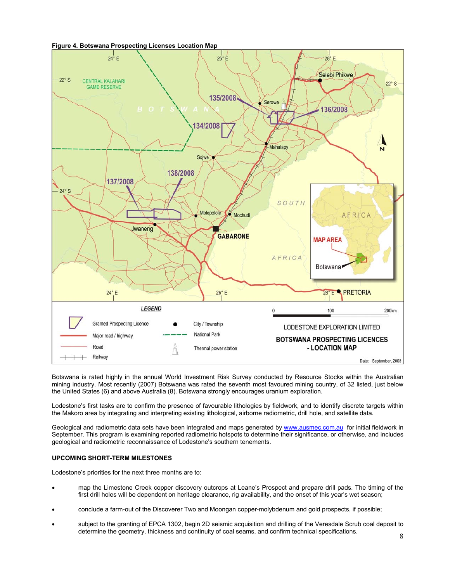



Botswana is rated highly in the annual World Investment Risk Survey conducted by Resource Stocks within the Australian mining industry. Most recently (2007) Botswana was rated the seventh most favoured mining country, of 32 listed, just below the United States (6) and above Australia (8). Botswana strongly encourages uranium exploration.

Lodestone's first tasks are to confirm the presence of favourable lithologies by fieldwork, and to identify discrete targets within the Makoro area by integrating and interpreting existing lithological, airborne radiometric, drill hole, and satellite data.

Geological and radiometric data sets have been integrated and maps generated by www.ausmec.com.au for initial fieldwork in September. This program is examining reported radiometric hotspots to determine their significance, or otherwise, and includes geological and radiometric reconnaissance of Lodestone's southern tenements.

### **UPCOMING SHORT-TERM MILESTONES**

Lodestone's priorities for the next three months are to:

- map the Limestone Creek copper discovery outcrops at Leane's Prospect and prepare drill pads. The timing of the first drill holes will be dependent on heritage clearance, rig availability, and the onset of this year's wet season;
- conclude a farm-out of the Discoverer Two and Moongan copper-molybdenum and gold prospects, if possible;
- subject to the granting of EPCA 1302, begin 2D seismic acquisition and drilling of the Veresdale Scrub coal deposit to determine the geometry, thickness and continuity of coal seams, and confirm technical specifications.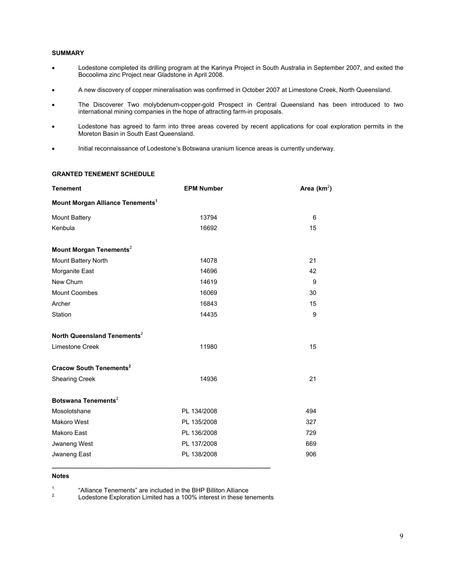### **SUMMARY**

- Lodestone completed its drilling program at the Karinya Project in South Australia in September 2007, and exited the Bocoolima zinc Project near Gladstone in April 2008.
- A new discovery of copper mineralisation was confirmed in October 2007 at Limestone Creek, North Queensland.
- The Discoverer Two molybdenum-copper-gold Prospect in Central Queensland has been introduced to two international mining companies in the hope of attracting farm-in proposals.
- Lodestone has agreed to farm into three areas covered by recent applications for coal exploration permits in the Moreton Basin in South East Queensland.
- Initial reconnaissance of Lodestone's Botswana uranium licence areas is currently underway.

### **GRANTED TENEMENT SCHEDULE**

| <b>Tenement</b>                              | <b>EPM Number</b> | Area ( $km^2$ ) |
|----------------------------------------------|-------------------|-----------------|
| Mount Morgan Alliance Tenements <sup>1</sup> |                   |                 |
| <b>Mount Battery</b>                         | 13794             | 6               |
| Kenbula                                      | 16692             | 15              |
| Mount Morgan Tenements <sup>2</sup>          |                   |                 |
| Mount Battery North                          | 14078             | 21              |
| Morganite East                               | 14696             | 42              |
| New Chum                                     | 14619             | 9               |
| <b>Mount Coombes</b>                         | 16069             | 30              |
| Archer                                       | 16843             | 15              |
| Station                                      | 14435             | 9               |
| North Queensland Tenements <sup>2</sup>      |                   |                 |
| Limestone Creek                              | 11980             | 15              |
| <b>Cracow South Tenements<sup>2</sup></b>    |                   |                 |
| <b>Shearing Creek</b>                        | 14936             | 21              |
| Botswana Tenements <sup>2</sup>              |                   |                 |
| Mosolotshane                                 | PL 134/2008       | 494             |
| Makoro West                                  | PL 135/2008       | 327             |
| <b>Makoro East</b>                           | PL 136/2008       | 729             |
| Jwaneng West                                 | PL 137/2008       | 669             |
| Jwaneng East                                 | PL 138/2008       | 906             |

### **Notes**

<sup>1.</sup> "Alliance Tenements" are included in the BHP Billiton Alliance<br><sup>2.</sup> Lodestone Exploration Limited has a 100% interest in these tenements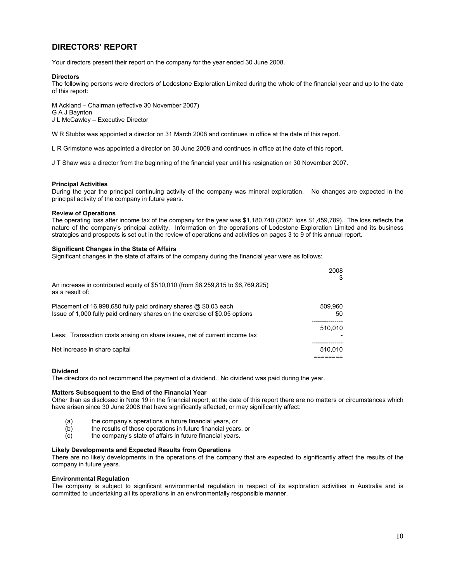## **DIRECTORS' REPORT**

Your directors present their report on the company for the year ended 30 June 2008.

### **Directors**

The following persons were directors of Lodestone Exploration Limited during the whole of the financial year and up to the date of this report:

M Ackland – Chairman (effective 30 November 2007) G A J Baynton J L McCawley – Executive Director

W R Stubbs was appointed a director on 31 March 2008 and continues in office at the date of this report.

L R Grimstone was appointed a director on 30 June 2008 and continues in office at the date of this report.

J T Shaw was a director from the beginning of the financial year until his resignation on 30 November 2007.

### **Principal Activities**

During the year the principal continuing activity of the company was mineral exploration. No changes are expected in the principal activity of the company in future years.

### **Review of Operations**

The operating loss after income tax of the company for the year was \$1,180,740 (2007: loss \$1,459,789). The loss reflects the nature of the company's principal activity. Information on the operations of Lodestone Exploration Limited and its business strategies and prospects is set out in the review of operations and activities on pages 3 to 9 of this annual report.

### **Significant Changes in the State of Affairs**

Significant changes in the state of affairs of the company during the financial year were as follows:

|                                                                                                                                                 | 2008<br>S     |
|-------------------------------------------------------------------------------------------------------------------------------------------------|---------------|
| An increase in contributed equity of \$510,010 (from \$6,259,815 to \$6,769,825)<br>as a result of:                                             |               |
| Placement of 16,998,680 fully paid ordinary shares @ \$0.03 each<br>Issue of 1,000 fully paid ordinary shares on the exercise of \$0.05 options | 509,960<br>50 |
|                                                                                                                                                 | 510.010       |
| Less: Transaction costs arising on share issues, net of current income tax                                                                      |               |
| Net increase in share capital                                                                                                                   | 510.010       |
|                                                                                                                                                 |               |

### **Dividend**

The directors do not recommend the payment of a dividend. No dividend was paid during the year.

### **Matters Subsequent to the End of the Financial Year**

Other than as disclosed in Note 19 in the financial report, at the date of this report there are no matters or circumstances which have arisen since 30 June 2008 that have significantly affected, or may significantly affect:

- (a) the company's operations in future financial years, or
- (b) the results of those operations in future financial years, or
- (c) the company's state of affairs in future financial years.

### **Likely Developments and Expected Results from Operations**

There are no likely developments in the operations of the company that are expected to significantly affect the results of the company in future years.

### **Environmental Regulation**

The company is subject to significant environmental regulation in respect of its exploration activities in Australia and is committed to undertaking all its operations in an environmentally responsible manner.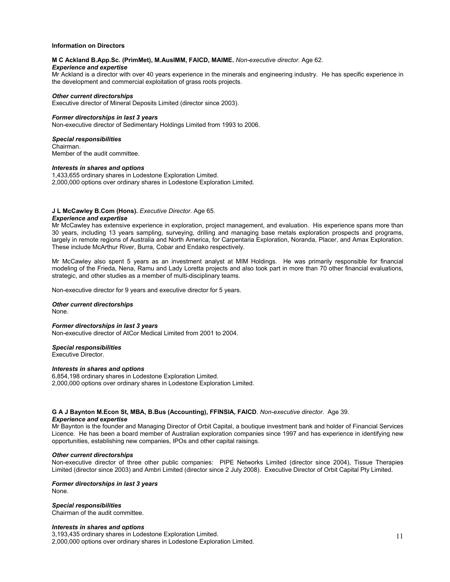### **Information on Directors**

### **M C Ackland B.App.Sc. (PrimMet), M.AusIMM, FAICD, MAIME.** *Non-executive director.* Age 62.

### *Experience and expertise*

Mr Ackland is a director with over 40 years experience in the minerals and engineering industry. He has specific experience in the development and commercial exploitation of grass roots projects.

### *Other current directorships*

Executive director of Mineral Deposits Limited (director since 2003).

### *Former directorships in last 3 years*

Non-executive director of Sedimentary Holdings Limited from 1993 to 2006.

#### *Special responsibilities*

Chairman. Member of the audit committee.

#### *Interests in shares and options*

1,433,655 ordinary shares in Lodestone Exploration Limited. 2,000,000 options over ordinary shares in Lodestone Exploration Limited.

#### **J L McCawley B.Com (Hons).** *Executive Director.* Age 65.

#### *Experience and expertise*

Mr McCawley has extensive experience in exploration, project management, and evaluation. His experience spans more than 30 years, including 13 years sampling, surveying, drilling and managing base metals exploration prospects and programs, largely in remote regions of Australia and North America, for Carpentaria Exploration, Noranda, Placer, and Amax Exploration. These include McArthur River, Burra, Cobar and Endako respectively.

Mr McCawley also spent 5 years as an investment analyst at MIM Holdings. He was primarily responsible for financial modeling of the Frieda, Nena, Ramu and Lady Loretta projects and also took part in more than 70 other financial evaluations, strategic, and other studies as a member of multi-disciplinary teams.

Non-executive director for 9 years and executive director for 5 years.

### *Other current directorships*

None.

#### *Former directorships in last 3 years*

Non-executive director of AtCor Medical Limited from 2001 to 2004.

### *Special responsibilities*

Executive Director.

### *Interests in shares and options*

6,854,198 ordinary shares in Lodestone Exploration Limited. 2,000,000 options over ordinary shares in Lodestone Exploration Limited.

### **G A J Baynton M.Econ St, MBA, B.Bus (Accounting), FFINSIA, FAICD**. *Non-executive director.* Age 39. *Experience and expertise*

Mr Baynton is the founder and Managing Director of Orbit Capital, a boutique investment bank and holder of Financial Services Licence. He has been a board member of Australian exploration companies since 1997 and has experience in identifying new opportunities, establishing new companies, IPOs and other capital raisings.

### *Other current directorships*

Non-executive director of three other public companies: PIPE Networks Limited (director since 2004), Tissue Therapies Limited (director since 2003) and Ambri Limited (director since 2 July 2008). Executive Director of Orbit Capital Pty Limited.

#### *Former directorships in last 3 years* None.

### *Special responsibilities*

Chairman of the audit committee.

#### *Interests in shares and options*

3,193,435 ordinary shares in Lodestone Exploration Limited. 2,000,000 options over ordinary shares in Lodestone Exploration Limited.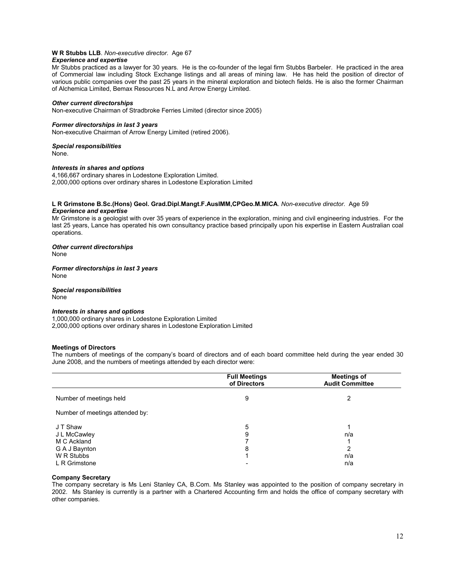# **W R Stubbs LLB**. *Non-executive director.* Age 67

## *Experience and expertise*

Mr Stubbs practiced as a lawyer for 30 years. He is the co-founder of the legal firm Stubbs Barbeler. He practiced in the area of Commercial law including Stock Exchange listings and all areas of mining law. He has held the position of director of various public companies over the past 25 years in the mineral exploration and biotech fields. He is also the former Chairman of Alchemica Limited, Bemax Resources N.L and Arrow Energy Limited.

### *Other current directorships*

Non-executive Chairman of Stradbroke Ferries Limited (director since 2005)

### *Former directorships in last 3 years*

Non-executive Chairman of Arrow Energy Limited (retired 2006).

### *Special responsibilities*

None.

### *Interests in shares and options*

4,166,667 ordinary shares in Lodestone Exploration Limited. 2,000,000 options over ordinary shares in Lodestone Exploration Limited

### **L R Grimstone B.Sc.(Hons) Geol. Grad.Dipl.Mangt.F.AusIMM,CPGeo.M.MICA**. *Non-executive director.* Age 59 *Experience and expertise*

Mr Grimstone is a geologist with over 35 years of experience in the exploration, mining and civil engineering industries. For the last 25 years, Lance has operated his own consultancy practice based principally upon his expertise in Eastern Australian coal operations.

### *Other current directorships*

None

### *Former directorships in last 3 years* None

*Special responsibilities* None

### *Interests in shares and options*

1,000,000 ordinary shares in Lodestone Exploration Limited 2,000,000 options over ordinary shares in Lodestone Exploration Limited

### **Meetings of Directors**

The numbers of meetings of the company's board of directors and of each board committee held during the year ended 30 June 2008, and the numbers of meetings attended by each director were:

|                                 | <b>Full Meetings</b><br>of Directors | <b>Meetings of</b><br><b>Audit Committee</b> |
|---------------------------------|--------------------------------------|----------------------------------------------|
| Number of meetings held         | 9                                    | 2                                            |
| Number of meetings attended by: |                                      |                                              |
| J T Shaw                        | 5                                    |                                              |
| J L McCawley<br>M C Ackland     | 9                                    | n/a                                          |
| G A J Baynton                   | 8                                    | 2                                            |
| W R Stubbs                      |                                      | n/a                                          |
| L R Grimstone                   |                                      | n/a                                          |

### **Company Secretary**

The company secretary is Ms Leni Stanley CA, B.Com. Ms Stanley was appointed to the position of company secretary in 2002. Ms Stanley is currently is a partner with a Chartered Accounting firm and holds the office of company secretary with other companies.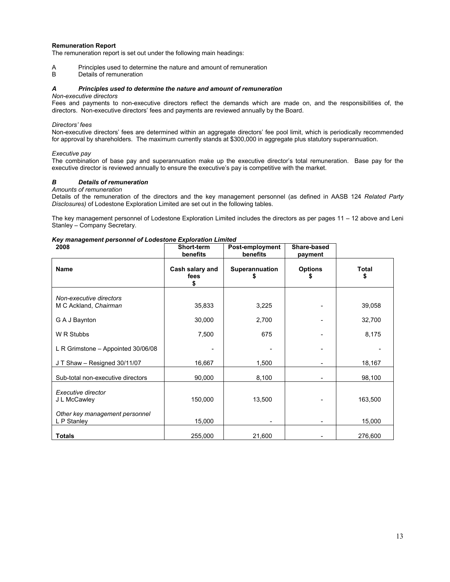### **Remuneration Report**

The remuneration report is set out under the following main headings:

A Principles used to determine the nature and amount of remuneration<br>B Details of remuneration

Details of remuneration

### *A Principles used to determine the nature and amount of remuneration*

### *Non-executive directors*

Fees and payments to non-executive directors reflect the demands which are made on, and the responsibilities of, the directors. Non-executive directors' fees and payments are reviewed annually by the Board.

### *Directors' fees*

Non-executive directors' fees are determined within an aggregate directors' fee pool limit, which is periodically recommended for approval by shareholders. The maximum currently stands at \$300,000 in aggregate plus statutory superannuation.

### *Executive pay*

The combination of base pay and superannuation make up the executive director's total remuneration. Base pay for the executive director is reviewed annually to ensure the executive's pay is competitive with the market.

### *B Details of remuneration*

### *Amounts of remuneration*

Details of the remuneration of the directors and the key management personnel (as defined in AASB 124 *Related Party Disclosures)* of Lodestone Exploration Limited are set out in the following tables.

The key management personnel of Lodestone Exploration Limited includes the directors as per pages 11 – 12 above and Leni Stanley – Company Secretary.

### *Key management personnel of Lodestone Exploration Limited*

| 2008                                             | Short-term<br>benefits        | Post-employment<br>benefits | Share-based<br>payment |                    |
|--------------------------------------------------|-------------------------------|-----------------------------|------------------------|--------------------|
| <b>Name</b>                                      | Cash salary and<br>fees<br>\$ | <b>Superannuation</b><br>S  | <b>Options</b><br>5    | <b>Total</b><br>\$ |
| Non-executive directors<br>M C Ackland, Chairman | 35,833                        | 3,225                       |                        | 39,058             |
| G A J Baynton                                    | 30,000                        | 2,700                       |                        | 32,700             |
| W R Stubbs                                       | 7,500                         | 675                         |                        | 8,175              |
| L R Grimstone - Appointed 30/06/08               |                               |                             |                        |                    |
| JT Shaw - Resigned 30/11/07                      | 16,667                        | 1,500                       |                        | 18,167             |
| Sub-total non-executive directors                | 90,000                        | 8,100                       |                        | 98,100             |
| Executive director<br>J L McCawley               | 150,000                       | 13,500                      |                        | 163,500            |
| Other key management personnel<br>L P Stanley    | 15,000                        |                             |                        | 15,000             |
| <b>Totals</b>                                    | 255,000                       | 21,600                      |                        | 276,600            |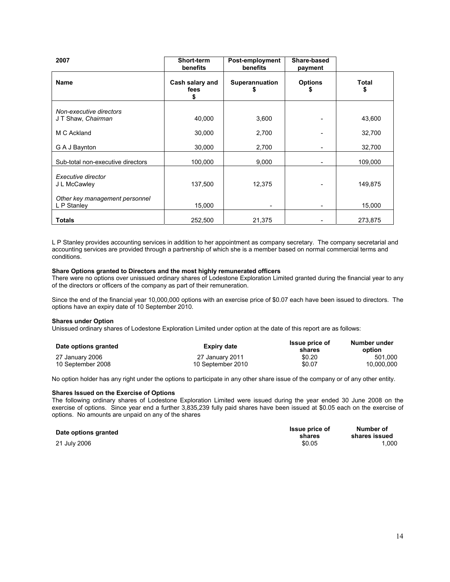| 2007                                          | Short-term<br>benefits       | Post-employment<br>benefits | Share-based<br>payment |                    |
|-----------------------------------------------|------------------------------|-----------------------------|------------------------|--------------------|
| <b>Name</b>                                   | Cash salary and<br>fees<br>S | <b>Superannuation</b>       | <b>Options</b>         | <b>Total</b><br>\$ |
| Non-executive directors<br>JT Shaw, Chairman  | 40,000                       | 3,600                       |                        | 43,600             |
| M C Ackland                                   | 30,000                       | 2,700                       |                        | 32,700             |
| G A J Baynton                                 | 30,000                       | 2,700                       |                        | 32,700             |
| Sub-total non-executive directors             | 100,000                      | 9,000                       |                        | 109,000            |
| Executive director<br>J L McCawley            | 137,500                      | 12,375                      |                        | 149,875            |
| Other key management personnel<br>L P Stanley | 15,000                       |                             |                        | 15,000             |
| <b>Totals</b>                                 | 252,500                      | 21,375                      |                        | 273,875            |

L P Stanley provides accounting services in addition to her appointment as company secretary. The company secretarial and accounting services are provided through a partnership of which she is a member based on normal commercial terms and conditions.

### **Share Options granted to Directors and the most highly remunerated officers**

There were no options over unissued ordinary shares of Lodestone Exploration Limited granted during the financial year to any of the directors or officers of the company as part of their remuneration.

Since the end of the financial year 10,000,000 options with an exercise price of \$0.07 each have been issued to directors. The options have an expiry date of 10 September 2010.

### **Shares under Option**

Unissued ordinary shares of Lodestone Exploration Limited under option at the date of this report are as follows:

| Date options granted | Expiry date       | <b>Issue price of</b><br>shares | Number under<br>option |
|----------------------|-------------------|---------------------------------|------------------------|
| 27 January 2006      | 27 January 2011   | \$0.20                          | 501.000                |
| 10 September 2008    | 10 September 2010 | \$0.07                          | 10.000.000             |

No option holder has any right under the options to participate in any other share issue of the company or of any other entity.

### **Shares Issued on the Exercise of Options**

The following ordinary shares of Lodestone Exploration Limited were issued during the year ended 30 June 2008 on the exercise of options. Since year end a further 3,835,239 fully paid shares have been issued at \$0.05 each on the exercise of options. No amounts are unpaid on any of the shares

### **Date options granted**

21 July 2006

| <b>Issue price of</b> | Number of     |
|-----------------------|---------------|
| shares                | shares issued |
| \$0.05                | 1.000         |
|                       |               |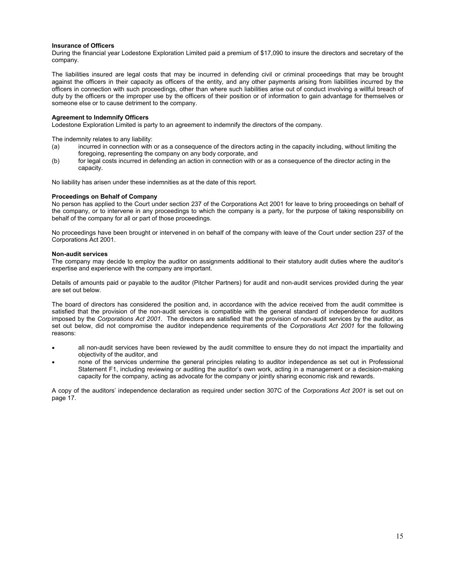### **Insurance of Officers**

During the financial year Lodestone Exploration Limited paid a premium of \$17,090 to insure the directors and secretary of the company.

The liabilities insured are legal costs that may be incurred in defending civil or criminal proceedings that may be brought against the officers in their capacity as officers of the entity, and any other payments arising from liabilities incurred by the officers in connection with such proceedings, other than where such liabilities arise out of conduct involving a willful breach of duty by the officers or the improper use by the officers of their position or of information to gain advantage for themselves or someone else or to cause detriment to the company.

### **Agreement to Indemnify Officers**

Lodestone Exploration Limited is party to an agreement to indemnify the directors of the company.

The indemnity relates to any liability:

- (a) incurred in connection with or as a consequence of the directors acting in the capacity including, without limiting the foregoing, representing the company on any body corporate, and
- (b) for legal costs incurred in defending an action in connection with or as a consequence of the director acting in the capacity.

No liability has arisen under these indemnities as at the date of this report.

#### **Proceedings on Behalf of Company**

No person has applied to the Court under section 237 of the Corporations Act 2001 for leave to bring proceedings on behalf of the company, or to intervene in any proceedings to which the company is a party, for the purpose of taking responsibility on behalf of the company for all or part of those proceedings.

No proceedings have been brought or intervened in on behalf of the company with leave of the Court under section 237 of the Corporations Act 2001.

### **Non-audit services**

The company may decide to employ the auditor on assignments additional to their statutory audit duties where the auditor's expertise and experience with the company are important.

Details of amounts paid or payable to the auditor (Pitcher Partners) for audit and non-audit services provided during the year are set out below.

The board of directors has considered the position and, in accordance with the advice received from the audit committee is satisfied that the provision of the non-audit services is compatible with the general standard of independence for auditors imposed by the *Corporations Act 2001*. The directors are satisfied that the provision of non-audit services by the auditor, as set out below, did not compromise the auditor independence requirements of the *Corporations Act 2001* for the following reasons:

- all non-audit services have been reviewed by the audit committee to ensure they do not impact the impartiality and objectivity of the auditor, and
- none of the services undermine the general principles relating to auditor independence as set out in Professional Statement F1, including reviewing or auditing the auditor's own work, acting in a management or a decision-making capacity for the company, acting as advocate for the company or jointly sharing economic risk and rewards.

A copy of the auditors' independence declaration as required under section 307C of the *Corporations Act 2001* is set out on page 17.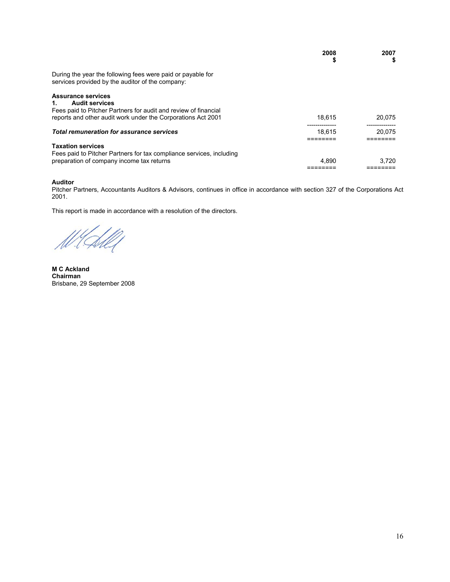|                                                                                                                                  | 2008<br>\$ | 2007<br>5 |
|----------------------------------------------------------------------------------------------------------------------------------|------------|-----------|
| During the year the following fees were paid or payable for<br>services provided by the auditor of the company:                  |            |           |
| <b>Assurance services</b><br><b>Audit services</b><br>$1_{-}$<br>Fees paid to Pitcher Partners for audit and review of financial |            |           |
| reports and other audit work under the Corporations Act 2001                                                                     | 18.615     | 20.075    |
| Total remuneration for assurance services                                                                                        | 18.615     | 20.075    |
| <b>Taxation services</b><br>Fees paid to Pitcher Partners for tax compliance services, including                                 |            |           |
| preparation of company income tax returns                                                                                        | 4.890      | 3.720     |

### **Auditor**

Pitcher Partners, Accountants Auditors & Advisors, continues in office in accordance with section 327 of the Corporations Act 2001.

This report is made in accordance with a resolution of the directors.

.<br>|}

**M C Ackland Chairman**  Brisbane, 29 September 2008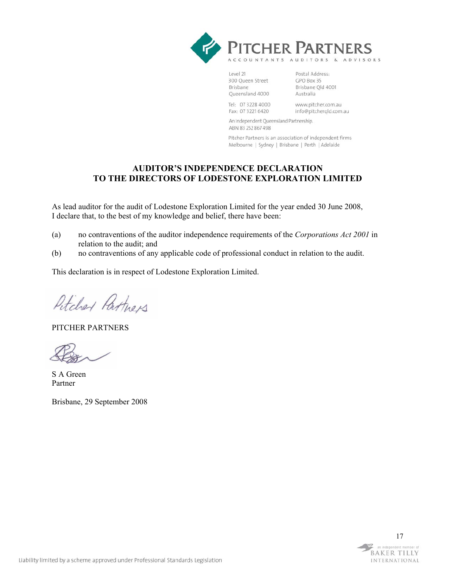

Level 21 300 Queen Street Brisbane Queensland 4000

Postal Address: GPO Box 35 Brisbane Qld 4001 Australia

Tel: 07 3228 4000 Fax: 07 3221 6420

www.pitcher.com.au info@pitchergld.com.au

An Independent Queensland Partnership. ABN 83 252 867 498

Pitcher Partners is an association of independent firms Melbourne | Sydney | Brisbane | Perth | Adelaide

## **AUDITOR'S INDEPENDENCE DECLARATION TO THE DIRECTORS OF LODESTONE EXPLORATION LIMITED**

As lead auditor for the audit of Lodestone Exploration Limited for the year ended 30 June 2008, I declare that, to the best of my knowledge and belief, there have been:

- (a) no contraventions of the auditor independence requirements of the *Corporations Act 2001* in relation to the audit; and
- (b) no contraventions of any applicable code of professional conduct in relation to the audit.

This declaration is in respect of Lodestone Exploration Limited.

Petcher Partners

PITCHER PARTNERS

S A Green Partner

Brisbane, 29 September 2008

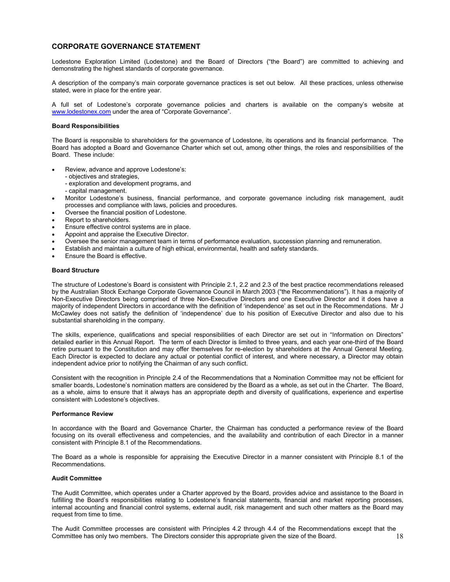## **CORPORATE GOVERNANCE STATEMENT**

Lodestone Exploration Limited (Lodestone) and the Board of Directors ("the Board") are committed to achieving and demonstrating the highest standards of corporate governance.

A description of the company's main corporate governance practices is set out below. All these practices, unless otherwise stated, were in place for the entire year.

A full set of Lodestone's corporate governance policies and charters is available on the company's website at www.lodestonex.com under the area of "Corporate Governance".

### **Board Responsibilities**

The Board is responsible to shareholders for the governance of Lodestone, its operations and its financial performance. The Board has adopted a Board and Governance Charter which set out, among other things, the roles and responsibilities of the Board. These include:

- Review, advance and approve Lodestone's:
	- objectives and strategies,
	- exploration and development programs, and
	- capital management.
- Monitor Lodestone's business, financial performance, and corporate governance including risk management, audit processes and compliance with laws, policies and procedures.
- Oversee the financial position of Lodestone.
- Report to shareholders.
- Ensure effective control systems are in place.
- Appoint and appraise the Executive Director.
- Oversee the senior management team in terms of performance evaluation, succession planning and remuneration.
- Establish and maintain a culture of high ethical, environmental, health and safety standards.
- Ensure the Board is effective.

### **Board Structure**

The structure of Lodestone's Board is consistent with Principle 2.1, 2.2 and 2.3 of the best practice recommendations released by the Australian Stock Exchange Corporate Governance Council in March 2003 ("the Recommendations"). It has a majority of Non-Executive Directors being comprised of three Non-Executive Directors and one Executive Director and it does have a majority of independent Directors in accordance with the definition of 'independence' as set out in the Recommendations. Mr J McCawley does not satisfy the definition of 'independence' due to his position of Executive Director and also due to his substantial shareholding in the company.

The skills, experience, qualifications and special responsibilities of each Director are set out in "Information on Directors" detailed earlier in this Annual Report. The term of each Director is limited to three years, and each year one-third of the Board retire pursuant to the Constitution and may offer themselves for re-election by shareholders at the Annual General Meeting. Each Director is expected to declare any actual or potential conflict of interest, and where necessary, a Director may obtain independent advice prior to notifying the Chairman of any such conflict.

Consistent with the recognition in Principle 2.4 of the Recommendations that a Nomination Committee may not be efficient for smaller boards, Lodestone's nomination matters are considered by the Board as a whole, as set out in the Charter. The Board, as a whole, aims to ensure that it always has an appropriate depth and diversity of qualifications, experience and expertise consistent with Lodestone's objectives.

#### **Performance Review**

In accordance with the Board and Governance Charter, the Chairman has conducted a performance review of the Board focusing on its overall effectiveness and competencies, and the availability and contribution of each Director in a manner consistent with Principle 8.1 of the Recommendations.

The Board as a whole is responsible for appraising the Executive Director in a manner consistent with Principle 8.1 of the Recommendations.

#### **Audit Committee**

The Audit Committee, which operates under a Charter approved by the Board, provides advice and assistance to the Board in fulfilling the Board's responsibilities relating to Lodestone's financial statements, financial and market reporting processes, internal accounting and financial control systems, external audit, risk management and such other matters as the Board may request from time to time.

The Audit Committee processes are consistent with Principles 4.2 through 4.4 of the Recommendations except that the Committee has only two members. The Directors consider this appropriate given the size of the Board.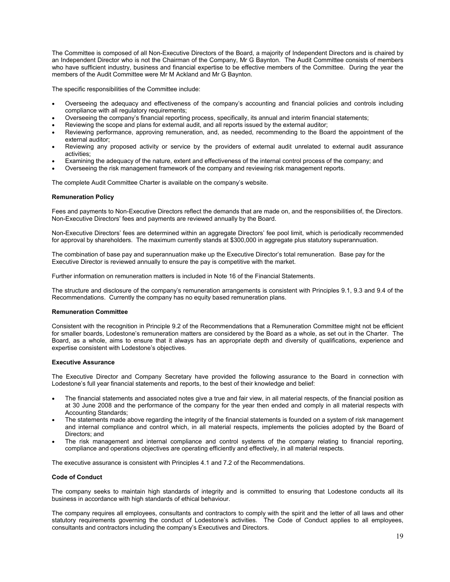The Committee is composed of all Non-Executive Directors of the Board, a majority of Independent Directors and is chaired by an Independent Director who is not the Chairman of the Company, Mr G Baynton. The Audit Committee consists of members who have sufficient industry, business and financial expertise to be effective members of the Committee. During the year the members of the Audit Committee were Mr M Ackland and Mr G Baynton.

The specific responsibilities of the Committee include:

- Overseeing the adequacy and effectiveness of the company's accounting and financial policies and controls including compliance with all regulatory requirements;
- Overseeing the company's financial reporting process, specifically, its annual and interim financial statements;
- Reviewing the scope and plans for external audit, and all reports issued by the external auditor;
- Reviewing performance, approving remuneration, and, as needed, recommending to the Board the appointment of the external auditor;
- Reviewing any proposed activity or service by the providers of external audit unrelated to external audit assurance activities;
- Examining the adequacy of the nature, extent and effectiveness of the internal control process of the company; and
- Overseeing the risk management framework of the company and reviewing risk management reports.

The complete Audit Committee Charter is available on the company's website.

### **Remuneration Policy**

Fees and payments to Non-Executive Directors reflect the demands that are made on, and the responsibilities of, the Directors. Non-Executive Directors' fees and payments are reviewed annually by the Board.

Non-Executive Directors' fees are determined within an aggregate Directors' fee pool limit, which is periodically recommended for approval by shareholders. The maximum currently stands at \$300,000 in aggregate plus statutory superannuation.

The combination of base pay and superannuation make up the Executive Director's total remuneration. Base pay for the Executive Director is reviewed annually to ensure the pay is competitive with the market.

Further information on remuneration matters is included in Note 16 of the Financial Statements.

The structure and disclosure of the company's remuneration arrangements is consistent with Principles 9.1, 9.3 and 9.4 of the Recommendations. Currently the company has no equity based remuneration plans.

### **Remuneration Committee**

Consistent with the recognition in Principle 9.2 of the Recommendations that a Remuneration Committee might not be efficient for smaller boards, Lodestone's remuneration matters are considered by the Board as a whole, as set out in the Charter. The Board, as a whole, aims to ensure that it always has an appropriate depth and diversity of qualifications, experience and expertise consistent with Lodestone's objectives.

### **Executive Assurance**

The Executive Director and Company Secretary have provided the following assurance to the Board in connection with Lodestone's full year financial statements and reports, to the best of their knowledge and belief:

- The financial statements and associated notes give a true and fair view, in all material respects, of the financial position as at 30 June 2008 and the performance of the company for the year then ended and comply in all material respects with Accounting Standards;
- The statements made above regarding the integrity of the financial statements is founded on a system of risk management and internal compliance and control which, in all material respects, implements the policies adopted by the Board of Directors; and
- The risk management and internal compliance and control systems of the company relating to financial reporting, compliance and operations objectives are operating efficiently and effectively, in all material respects.

The executive assurance is consistent with Principles 4.1 and 7.2 of the Recommendations.

### **Code of Conduct**

The company seeks to maintain high standards of integrity and is committed to ensuring that Lodestone conducts all its business in accordance with high standards of ethical behaviour.

The company requires all employees, consultants and contractors to comply with the spirit and the letter of all laws and other statutory requirements governing the conduct of Lodestone's activities. The Code of Conduct applies to all employees, consultants and contractors including the company's Executives and Directors.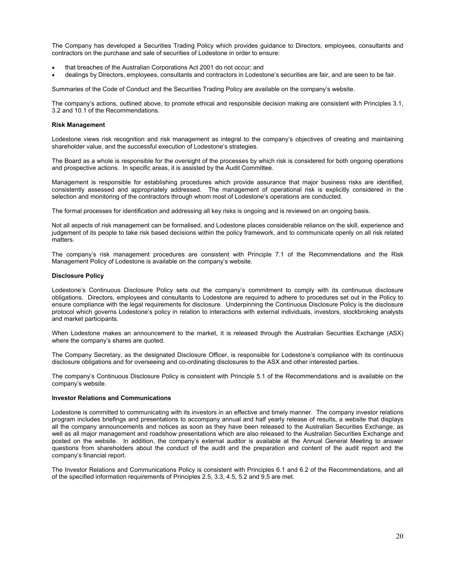The Company has developed a Securities Trading Policy which provides guidance to Directors, employees, consultants and contractors on the purchase and sale of securities of Lodestone in order to ensure:

- that breaches of the Australian Corporations Act 2001 do not occur; and
- dealings by Directors, employees, consultants and contractors in Lodestone's securities are fair, and are seen to be fair.

Summaries of the Code of Conduct and the Securities Trading Policy are available on the company's website.

The company's actions, outlined above, to promote ethical and responsible decision making are consistent with Principles 3.1, 3.2 and 10.1 of the Recommendations.

### **Risk Management**

Lodestone views risk recognition and risk management as integral to the company's objectives of creating and maintaining shareholder value, and the successful execution of Lodestone's strategies.

The Board as a whole is responsible for the oversight of the processes by which risk is considered for both ongoing operations and prospective actions. In specific areas, it is assisted by the Audit Committee.

Management is responsible for establishing procedures which provide assurance that major business risks are identified, consistently assessed and appropriately addressed. The management of operational risk is explicitly considered in the selection and monitoring of the contractors through whom most of Lodestone's operations are conducted.

The formal processes for identification and addressing all key risks is ongoing and is reviewed on an ongoing basis.

Not all aspects of risk management can be formalised, and Lodestone places considerable reliance on the skill, experience and judgement of its people to take risk based decisions within the policy framework, and to communicate openly on all risk related matters.

The company's risk management procedures are consistent with Principle 7.1 of the Recommendations and the Risk Management Policy of Lodestone is available on the company's website.

### **Disclosure Policy**

Lodestone's Continuous Disclosure Policy sets out the company's commitment to comply with its continuous disclosure obligations. Directors, employees and consultants to Lodestone are required to adhere to procedures set out in the Policy to ensure compliance with the legal requirements for disclosure. Underpinning the Continuous Disclosure Policy is the disclosure protocol which governs Lodestone's policy in relation to interactions with external individuals, investors, stockbroking analysts and market participants.

When Lodestone makes an announcement to the market, it is released through the Australian Securities Exchange (ASX) where the company's shares are quoted.

The Company Secretary, as the designated Disclosure Officer, is responsible for Lodestone's compliance with its continuous disclosure obligations and for overseeing and co-ordinating disclosures to the ASX and other interested parties.

The company's Continuous Disclosure Policy is consistent with Principle 5.1 of the Recommendations and is available on the company's website.

### **Investor Relations and Communications**

Lodestone is committed to communicating with its investors in an effective and timely manner. The company investor relations program includes briefings and presentations to accompany annual and half yearly release of results, a website that displays all the company announcements and notices as soon as they have been released to the Australian Securities Exchange, as well as all major management and roadshow presentations which are also released to the Australian Securities Exchange and posted on the website. In addition, the company's external auditor is available at the Annual General Meeting to answer questions from shareholders about the conduct of the audit and the preparation and content of the audit report and the company's financial report.

The Investor Relations and Communications Policy is consistent with Principles 6.1 and 6.2 of the Recommendations, and all of the specified information requirements of Principles 2.5, 3.3, 4.5, 5.2 and 9.5 are met.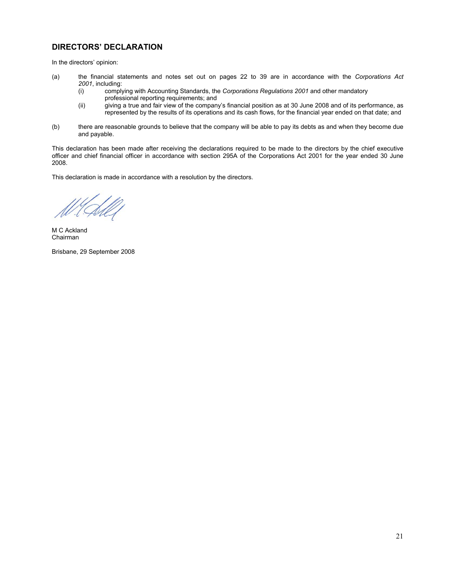## **DIRECTORS' DECLARATION**

In the directors' opinion:

- (a) the financial statements and notes set out on pages 22 to 39 are in accordance with the *Corporations Act 2001*, including:
	- (i) complying with Accounting Standards, the *Corporations Regulations 2001* and other mandatory professional reporting requirements; and<br>(ii) giving a true and fair view of the compan
	- giving a true and fair view of the company's financial position as at 30 June 2008 and of its performance, as represented by the results of its operations and its cash flows, for the financial year ended on that date; and
- (b) there are reasonable grounds to believe that the company will be able to pay its debts as and when they become due and payable.

This declaration has been made after receiving the declarations required to be made to the directors by the chief executive officer and chief financial officer in accordance with section 295A of the Corporations Act 2001 for the year ended 30 June 2008.

This declaration is made in accordance with a resolution by the directors.

M C Ackland Chairman

Brisbane, 29 September 2008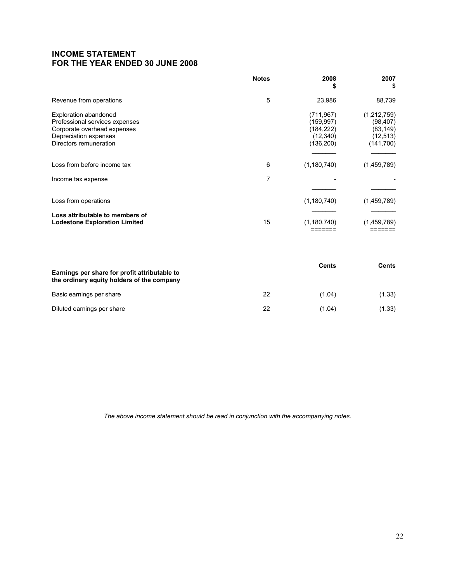## **INCOME STATEMENT FOR THE YEAR ENDED 30 JUNE 2008**

|                                                                                                                                                  | <b>Notes</b> | 2008<br>\$                                                       | 2007<br>\$                                                    |
|--------------------------------------------------------------------------------------------------------------------------------------------------|--------------|------------------------------------------------------------------|---------------------------------------------------------------|
| Revenue from operations                                                                                                                          | 5            | 23,986                                                           | 88,739                                                        |
| <b>Exploration abandoned</b><br>Professional services expenses<br>Corporate overhead expenses<br>Depreciation expenses<br>Directors remuneration |              | (711, 967)<br>(159,997)<br>(184, 222)<br>(12, 340)<br>(136, 200) | (1,212,759)<br>(98,407)<br>(83,149)<br>(12, 513)<br>(141,700) |
| Loss from before income tax                                                                                                                      | 6            | (1, 180, 740)                                                    | (1,459,789)                                                   |
| Income tax expense                                                                                                                               | 7            |                                                                  |                                                               |
| Loss from operations                                                                                                                             |              | (1, 180, 740)                                                    | (1,459,789)                                                   |
| Loss attributable to members of<br><b>Lodestone Exploration Limited</b>                                                                          | 15           | (1, 180, 740)                                                    | (1,459,789)                                                   |

| Earnings per share for profit attributable to<br>the ordinary equity holders of the company |    | Cents  | Cents  |
|---------------------------------------------------------------------------------------------|----|--------|--------|
| Basic earnings per share                                                                    | 22 | (1.04) | (1.33) |
| Diluted earnings per share                                                                  | 22 | (1.04) | (1.33) |

*The above income statement should be read in conjunction with the accompanying notes.*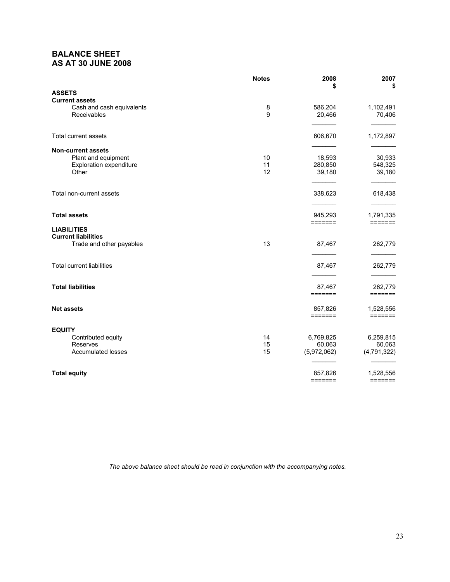## **BALANCE SHEET AS AT 30 JUNE 2008**

|                                                    | <b>Notes</b> | 2008<br>\$      | 2007<br>\$              |
|----------------------------------------------------|--------------|-----------------|-------------------------|
| <b>ASSETS</b>                                      |              |                 |                         |
| <b>Current assets</b><br>Cash and cash equivalents | 8            | 586,204         | 1,102,491               |
| Receivables                                        | 9            | 20,466          | 70,406                  |
| Total current assets                               |              | 606,670         | 1,172,897               |
| <b>Non-current assets</b>                          |              |                 |                         |
| Plant and equipment                                | 10           | 18,593          | 30,933                  |
| <b>Exploration expenditure</b>                     | 11           | 280,850         | 548,325                 |
| Other                                              | 12           | 39,180          | 39,180                  |
| Total non-current assets                           |              | 338,623         | 618,438                 |
|                                                    |              |                 |                         |
| <b>Total assets</b>                                |              | 945,293         | 1,791,335               |
| <b>LIABILITIES</b>                                 |              | $=$ = = = = = = | $=$ $=$ $=$ $=$ $=$ $=$ |
| <b>Current liabilities</b>                         | 13           | 87,467          | 262,779                 |
| Trade and other payables                           |              |                 |                         |
| <b>Total current liabilities</b>                   |              | 87,467          | 262,779                 |
|                                                    |              |                 |                         |
| <b>Total liabilities</b>                           |              | 87,467          | 262,779                 |
|                                                    |              | =======         | =======                 |
| <b>Net assets</b>                                  |              | 857,826         | 1,528,556               |
|                                                    |              | =======         | $=$ $=$ $=$ $=$ $=$ $=$ |
| <b>EQUITY</b>                                      |              |                 |                         |
| Contributed equity                                 | 14           | 6,769,825       | 6,259,815               |
| Reserves                                           | 15           | 60,063          | 60,063                  |
| <b>Accumulated losses</b>                          | 15           | (5,972,062)     | (4, 791, 322)           |
| <b>Total equity</b>                                |              | 857,826         | 1,528,556               |
|                                                    |              | =======         | $=$ $=$ $=$ $=$ $=$ $=$ |

*The above balance sheet should be read in conjunction with the accompanying notes.*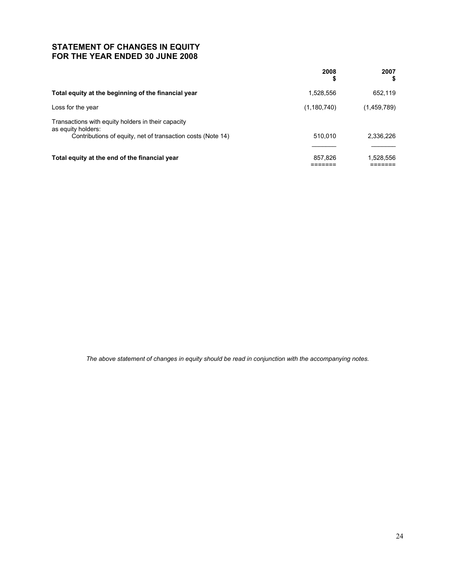## **STATEMENT OF CHANGES IN EQUITY FOR THE YEAR ENDED 30 JUNE 2008**

|                                                                          | 2008<br>\$  | 2007<br>\$  |
|--------------------------------------------------------------------------|-------------|-------------|
| Total equity at the beginning of the financial year                      | 1,528,556   | 652.119     |
| Loss for the year                                                        | (1,180,740) | (1,459,789) |
| Transactions with equity holders in their capacity<br>as equity holders: |             |             |
| Contributions of equity, net of transaction costs (Note 14)              | 510.010     | 2.336.226   |
|                                                                          |             |             |
| Total equity at the end of the financial year                            | 857.826     | 1,528,556   |

*The above statement of changes in equity should be read in conjunction with the accompanying notes.*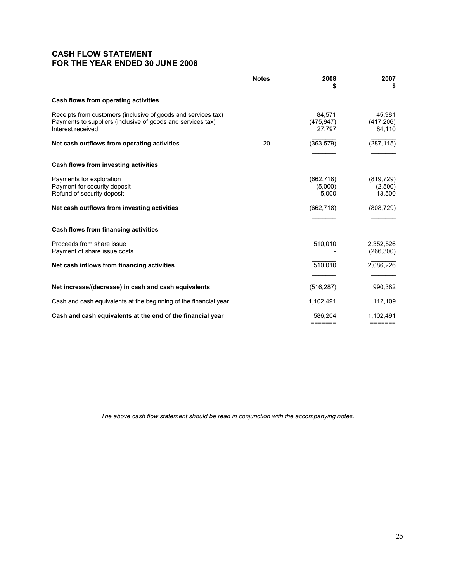## **CASH FLOW STATEMENT FOR THE YEAR ENDED 30 JUNE 2008**

|                                                                                                                                                   | <b>Notes</b> | 2008<br>S                      | 2007<br>S                       |
|---------------------------------------------------------------------------------------------------------------------------------------------------|--------------|--------------------------------|---------------------------------|
| Cash flows from operating activities                                                                                                              |              |                                |                                 |
| Receipts from customers (inclusive of goods and services tax)<br>Payments to suppliers (inclusive of goods and services tax)<br>Interest received |              | 84.571<br>(475.947)<br>27,797  | 45,981<br>(417, 206)<br>84,110  |
| Net cash outflows from operating activities                                                                                                       | 20           | (363, 579)                     | $(\overline{287,115})$          |
|                                                                                                                                                   |              |                                |                                 |
| Cash flows from investing activities                                                                                                              |              |                                |                                 |
| Payments for exploration<br>Payment for security deposit<br>Refund of security deposit                                                            |              | (662, 718)<br>(5,000)<br>5,000 | (819, 729)<br>(2,500)<br>13,500 |
| Net cash outflows from investing activities                                                                                                       |              | (662, 718)                     | (808, 729)                      |
|                                                                                                                                                   |              |                                |                                 |
| Cash flows from financing activities                                                                                                              |              |                                |                                 |
| Proceeds from share issue<br>Payment of share issue costs                                                                                         |              | 510,010                        | 2,352,526<br>(266, 300)         |
| Net cash inflows from financing activities                                                                                                        |              | 510,010                        | 2.086.226                       |
|                                                                                                                                                   |              |                                |                                 |
| Net increase/(decrease) in cash and cash equivalents                                                                                              |              | (516, 287)                     | 990,382                         |
| Cash and cash equivalents at the beginning of the financial year                                                                                  |              | 1,102,491                      | 112,109                         |
| Cash and cash equivalents at the end of the financial year                                                                                        |              | 586,204<br>=======             | 1,102,491<br>=======            |

*The above cash flow statement should be read in conjunction with the accompanying notes.*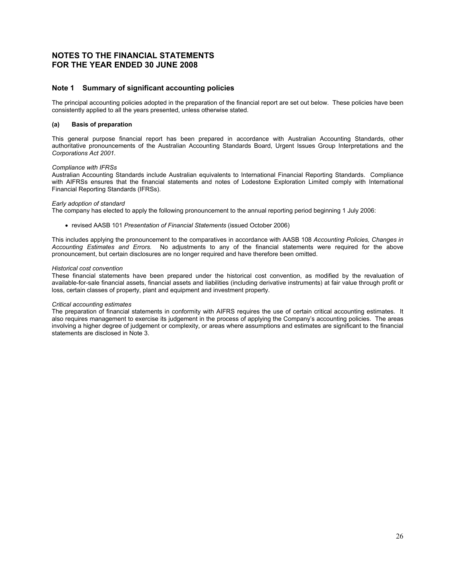## **NOTES TO THE FINANCIAL STATEMENTS FOR THE YEAR ENDED 30 JUNE 2008**

## **Note 1 Summary of significant accounting policies**

The principal accounting policies adopted in the preparation of the financial report are set out below. These policies have been consistently applied to all the years presented, unless otherwise stated.

### **(a) Basis of preparation**

This general purpose financial report has been prepared in accordance with Australian Accounting Standards, other authoritative pronouncements of the Australian Accounting Standards Board, Urgent Issues Group Interpretations and the *Corporations Act 2001.*

### *Compliance with IFRSs*

Australian Accounting Standards include Australian equivalents to International Financial Reporting Standards. Compliance with AIFRSs ensures that the financial statements and notes of Lodestone Exploration Limited comply with International Financial Reporting Standards (IFRSs).

### *Early adoption of standard*

The company has elected to apply the following pronouncement to the annual reporting period beginning 1 July 2006:

• revised AASB 101 *Presentation of Financial Statements* (issued October 2006)

This includes applying the pronouncement to the comparatives in accordance with AASB 108 *Accounting Policies, Changes in Accounting Estimates and Errors.* No adjustments to any of the financial statements were required for the above pronouncement, but certain disclosures are no longer required and have therefore been omitted.

### *Historical cost convention*

These financial statements have been prepared under the historical cost convention, as modified by the revaluation of available-for-sale financial assets, financial assets and liabilities (including derivative instruments) at fair value through profit or loss, certain classes of property, plant and equipment and investment property.

### *Critical accounting estimates*

The preparation of financial statements in conformity with AIFRS requires the use of certain critical accounting estimates. It also requires management to exercise its judgement in the process of applying the Company's accounting policies. The areas involving a higher degree of judgement or complexity, or areas where assumptions and estimates are significant to the financial statements are disclosed in Note 3.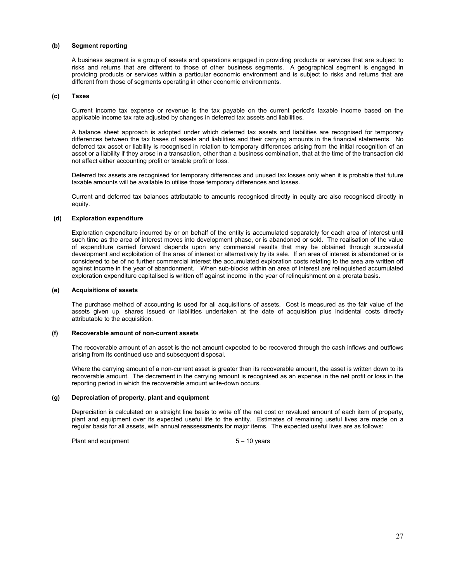### **(b) Segment reporting**

A business segment is a group of assets and operations engaged in providing products or services that are subject to risks and returns that are different to those of other business segments. A geographical segment is engaged in providing products or services within a particular economic environment and is subject to risks and returns that are different from those of segments operating in other economic environments.

### **(c) Taxes**

Current income tax expense or revenue is the tax payable on the current period's taxable income based on the applicable income tax rate adjusted by changes in deferred tax assets and liabilities.

A balance sheet approach is adopted under which deferred tax assets and liabilities are recognised for temporary differences between the tax bases of assets and liabilities and their carrying amounts in the financial statements. No deferred tax asset or liability is recognised in relation to temporary differences arising from the initial recognition of an asset or a liability if they arose in a transaction, other than a business combination, that at the time of the transaction did not affect either accounting profit or taxable profit or loss.

Deferred tax assets are recognised for temporary differences and unused tax losses only when it is probable that future taxable amounts will be available to utilise those temporary differences and losses.

Current and deferred tax balances attributable to amounts recognised directly in equity are also recognised directly in equity.

### **(d) Exploration expenditure**

Exploration expenditure incurred by or on behalf of the entity is accumulated separately for each area of interest until such time as the area of interest moves into development phase, or is abandoned or sold. The realisation of the value of expenditure carried forward depends upon any commercial results that may be obtained through successful development and exploitation of the area of interest or alternatively by its sale. If an area of interest is abandoned or is considered to be of no further commercial interest the accumulated exploration costs relating to the area are written off against income in the year of abandonment. When sub-blocks within an area of interest are relinquished accumulated exploration expenditure capitalised is written off against income in the year of relinquishment on a prorata basis.

### **(e) Acquisitions of assets**

The purchase method of accounting is used for all acquisitions of assets. Cost is measured as the fair value of the assets given up, shares issued or liabilities undertaken at the date of acquisition plus incidental costs directly attributable to the acquisition.

### **(f) Recoverable amount of non-current assets**

The recoverable amount of an asset is the net amount expected to be recovered through the cash inflows and outflows arising from its continued use and subsequent disposal.

Where the carrying amount of a non-current asset is greater than its recoverable amount, the asset is written down to its recoverable amount. The decrement in the carrying amount is recognised as an expense in the net profit or loss in the reporting period in which the recoverable amount write-down occurs.

### **(g) Depreciation of property, plant and equipment**

Depreciation is calculated on a straight line basis to write off the net cost or revalued amount of each item of property, plant and equipment over its expected useful life to the entity. Estimates of remaining useful lives are made on a regular basis for all assets, with annual reassessments for major items. The expected useful lives are as follows:

Plant and equipment 5 – 10 years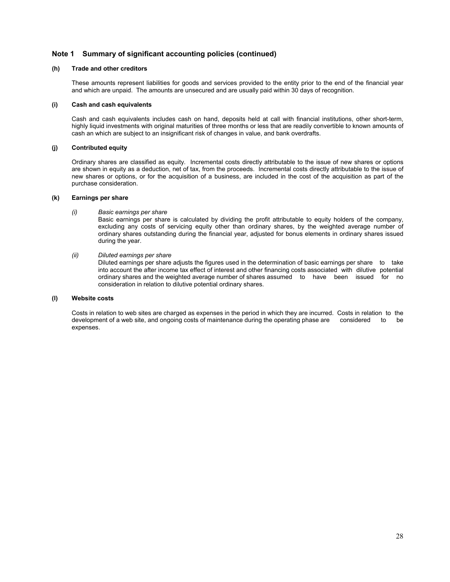## **Note 1 Summary of significant accounting policies (continued)**

### **(h) Trade and other creditors**

These amounts represent liabilities for goods and services provided to the entity prior to the end of the financial year and which are unpaid. The amounts are unsecured and are usually paid within 30 days of recognition.

### **(i) Cash and cash equivalents**

Cash and cash equivalents includes cash on hand, deposits held at call with financial institutions, other short-term, highly liquid investments with original maturities of three months or less that are readily convertible to known amounts of cash an which are subject to an insignificant risk of changes in value, and bank overdrafts.

### **(j) Contributed equity**

Ordinary shares are classified as equity. Incremental costs directly attributable to the issue of new shares or options are shown in equity as a deduction, net of tax, from the proceeds. Incremental costs directly attributable to the issue of new shares or options, or for the acquisition of a business, are included in the cost of the acquisition as part of the purchase consideration.

### **(k) Earnings per share**

*(i) Basic earnings per share* 

Basic earnings per share is calculated by dividing the profit attributable to equity holders of the company, excluding any costs of servicing equity other than ordinary shares, by the weighted average number of ordinary shares outstanding during the financial year, adjusted for bonus elements in ordinary shares issued during the year.

*(ii) Diluted earnings per share* 

 Diluted earnings per share adjusts the figures used in the determination of basic earnings per share to take into account the after income tax effect of interest and other financing costs associated with dilutive potential ordinary shares and the weighted average number of shares assumed to have been issued for no consideration in relation to dilutive potential ordinary shares.

### **(l) Website costs**

Costs in relation to web sites are charged as expenses in the period in which they are incurred. Costs in relation to the development of a web site, and ongoing costs of maintenance during the operating phase are considered to be expenses.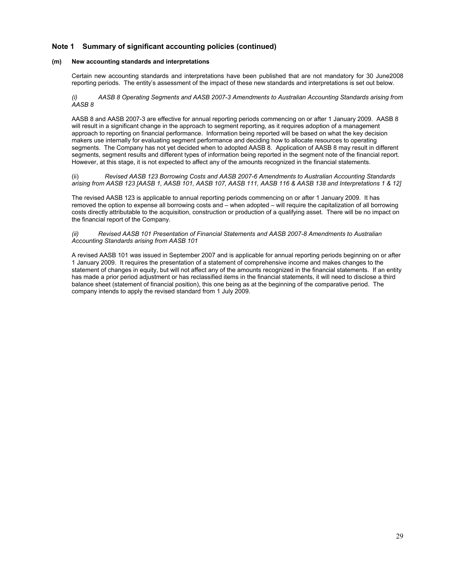## **Note 1 Summary of significant accounting policies (continued)**

### **(m) New accounting standards and interpretations**

Certain new accounting standards and interpretations have been published that are not mandatory for 30 June2008 reporting periods. The entity's assessment of the impact of these new standards and interpretations is set out below.

*(i) AASB 8 Operating Segments and AASB 2007-3 Amendments to Australian Accounting Standards arising from AASB 8* 

AASB 8 and AASB 2007-3 are effective for annual reporting periods commencing on or after 1 January 2009. AASB 8 will result in a significant change in the approach to segment reporting, as it requires adoption of a management approach to reporting on financial performance. Information being reported will be based on what the key decision makers use internally for evaluating segment performance and deciding how to allocate resources to operating segments. The Company has not yet decided when to adopted AASB 8. Application of AASB 8 may result in different segments, segment results and different types of information being reported in the segment note of the financial report. However, at this stage, it is not expected to affect any of the amounts recognized in the financial statements.

(ii) *Revised AASB 123 Borrowing Costs and AASB 2007-6 Amendments to Australian Accounting Standards arising from AASB 123 [AASB 1, AASB 101, AASB 107, AASB 111, AASB 116 & AASB 138 and Interpretations 1 & 12]* 

The revised AASB 123 is applicable to annual reporting periods commencing on or after 1 January 2009. It has removed the option to expense all borrowing costs and – when adopted – will require the capitalization of all borrowing costs directly attributable to the acquisition, construction or production of a qualifying asset. There will be no impact on the financial report of the Company.

*(ii) Revised AASB 101 Presentation of Financial Statements and AASB 2007-8 Amendments to Australian Accounting Standards arising from AASB 101* 

A revised AASB 101 was issued in September 2007 and is applicable for annual reporting periods beginning on or after 1 January 2009. It requires the presentation of a statement of comprehensive income and makes changes to the statement of changes in equity, but will not affect any of the amounts recognized in the financial statements. If an entity has made a prior period adjustment or has reclassified items in the financial statements, it will need to disclose a third balance sheet (statement of financial position), this one being as at the beginning of the comparative period. The company intends to apply the revised standard from 1 July 2009.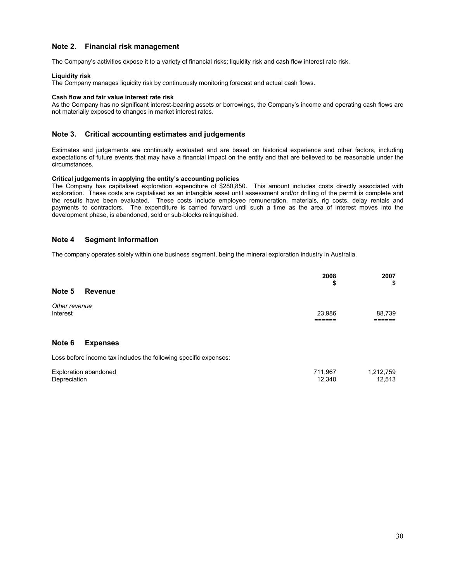## **Note 2. Financial risk management**

The Company's activities expose it to a variety of financial risks; liquidity risk and cash flow interest rate risk.

### **Liquidity risk**

The Company manages liquidity risk by continuously monitoring forecast and actual cash flows.

### **Cash flow and fair value interest rate risk**

As the Company has no significant interest-bearing assets or borrowings, the Company's income and operating cash flows are not materially exposed to changes in market interest rates.

### **Note 3. Critical accounting estimates and judgements**

Estimates and judgements are continually evaluated and are based on historical experience and other factors, including expectations of future events that may have a financial impact on the entity and that are believed to be reasonable under the circumstances.

### **Critical judgements in applying the entity's accounting policies**

The Company has capitalised exploration expenditure of \$280,850. This amount includes costs directly associated with exploration. These costs are capitalised as an intangible asset until assessment and/or drilling of the permit is complete and the results have been evaluated. These costs include employee remuneration, materials, rig costs, delay rentals and payments to contractors. The expenditure is carried forward until such a time as the area of interest moves into the development phase, is abandoned, sold or sub-blocks relinquished.

## **Note 4 Segment information**

The company operates solely within one business segment, being the mineral exploration industry in Australia.

|                           |                                                                  | 2008<br>\$        | 2007<br>\$          |
|---------------------------|------------------------------------------------------------------|-------------------|---------------------|
| Note 5                    | <b>Revenue</b>                                                   |                   |                     |
| Other revenue<br>Interest |                                                                  | 23,986            | 88,739              |
| Note 6                    | <b>Expenses</b>                                                  |                   |                     |
|                           | Loss before income tax includes the following specific expenses: |                   |                     |
| Depreciation              | Exploration abandoned                                            | 711,967<br>12.340 | 1,212,759<br>12,513 |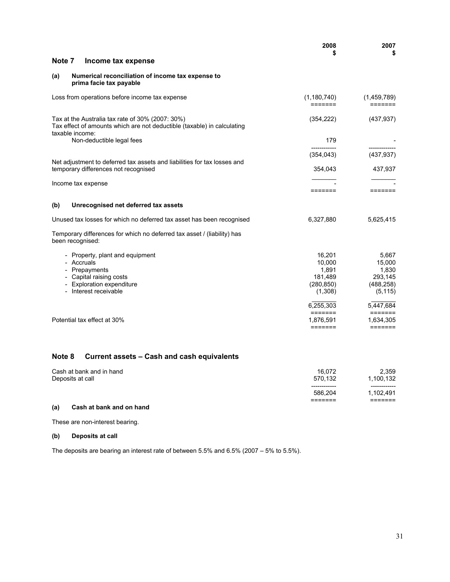|                                      |                                                                                                                                                 | 2008<br>S                                                     | 2007<br>\$                                                    |
|--------------------------------------|-------------------------------------------------------------------------------------------------------------------------------------------------|---------------------------------------------------------------|---------------------------------------------------------------|
| Note 7                               | Income tax expense                                                                                                                              |                                                               |                                                               |
| (a)                                  | Numerical reconciliation of income tax expense to<br>prima facie tax payable                                                                    |                                                               |                                                               |
|                                      | Loss from operations before income tax expense                                                                                                  | (1,180,740)<br>=======                                        | (1,459,789)<br>=======                                        |
|                                      | Tax at the Australia tax rate of 30% (2007: 30%)<br>Tax effect of amounts which are not deductible (taxable) in calculating                     | (354, 222)                                                    | (437, 937)                                                    |
|                                      | taxable income:<br>Non-deductible legal fees                                                                                                    | 179                                                           |                                                               |
|                                      | Net adjustment to deferred tax assets and liabilities for tax losses and                                                                        | (354, 043)                                                    | (437, 937)                                                    |
| temporary differences not recognised |                                                                                                                                                 | 354,043                                                       | 437,937                                                       |
|                                      | Income tax expense                                                                                                                              | =======                                                       | =======                                                       |
| (b)                                  | Unrecognised net deferred tax assets                                                                                                            |                                                               |                                                               |
|                                      | Unused tax losses for which no deferred tax asset has been recognised                                                                           | 6,327,880                                                     | 5,625,415                                                     |
|                                      | Temporary differences for which no deferred tax asset / (liability) has<br>been recognised:                                                     |                                                               |                                                               |
|                                      | - Property, plant and equipment<br>- Accruals<br>- Prepayments<br>- Capital raising costs<br>- Exploration expenditure<br>- Interest receivable | 16,201<br>10,000<br>1,891<br>181,489<br>(280, 850)<br>(1,308) | 5,667<br>15,000<br>1,830<br>293,145<br>(488, 258)<br>(5, 115) |
|                                      | Potential tax effect at 30%                                                                                                                     | 6,255,303<br>=======<br>1,876,591<br>$=$ $=$ $=$ $=$ $=$ $=$  | 5,447,684<br>$=$ $=$ $=$ $=$ $=$ $=$<br>1,634,305<br>=======  |
| Note 8                               | Current assets - Cash and cash equivalents                                                                                                      |                                                               |                                                               |

| Cash at bank and in hand<br>Deposits at call | 16.072<br>570.132       | 2.359<br>1,100,132        |
|----------------------------------------------|-------------------------|---------------------------|
|                                              | ------------<br>586.204 | ------------<br>1.102.491 |
|                                              | _______<br>-------      | ------<br>-------         |

## **(a) Cash at bank and on hand**

These are non-interest bearing.

## **(b) Deposits at call**

The deposits are bearing an interest rate of between 5.5% and 6.5% (2007 – 5% to 5.5%).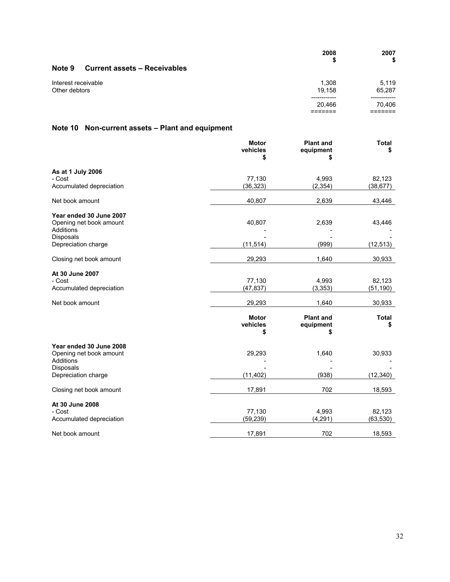|                                      |                                     | 2008<br>S             | 2007<br>\$         |
|--------------------------------------|-------------------------------------|-----------------------|--------------------|
| Note 9                               | <b>Current assets - Receivables</b> |                       |                    |
| Interest receivable<br>Other debtors | 1,308<br>19.158                     | 5,119<br>65.287       |                    |
|                                      |                                     | -----------<br>20.466 | --------<br>70.406 |

# **Note 10 Non-current assets – Plant and equipment**

|                                      | <b>Motor</b><br>vehicles<br>S | <b>Plant and</b><br>equipment<br>S | <b>Total</b><br>\$ |
|--------------------------------------|-------------------------------|------------------------------------|--------------------|
| As at 1 July 2006                    |                               |                                    |                    |
| - Cost                               | 77,130                        | 4,993                              | 82,123             |
| Accumulated depreciation             | (36, 323)                     | (2, 354)                           | (38, 677)          |
| Net book amount                      | 40,807                        | 2,639                              | 43,446             |
| Year ended 30 June 2007              |                               |                                    |                    |
| Opening net book amount              | 40,807                        | 2,639                              | 43,446             |
| Additions                            |                               |                                    |                    |
| Disposals<br>Depreciation charge     | (11, 514)                     | (999)                              | (12, 513)          |
|                                      |                               |                                    |                    |
| Closing net book amount              | 29,293                        | 1,640                              | 30,933             |
| At 30 June 2007                      |                               |                                    |                    |
| - Cost                               | 77,130                        | 4,993                              | 82,123             |
| Accumulated depreciation             | (47, 837)                     | (3, 353)                           | (51, 190)          |
| Net book amount                      |                               | 1,640                              |                    |
|                                      | 29,293                        |                                    | 30,933             |
|                                      | <b>Motor</b><br>vehicles<br>S | <b>Plant and</b><br>equipment<br>S | <b>Total</b><br>\$ |
| Year ended 30 June 2008              |                               |                                    |                    |
| Opening net book amount<br>Additions | 29,293                        | 1,640                              | 30,933             |
| <b>Disposals</b>                     |                               |                                    |                    |
| Depreciation charge                  | (11, 402)                     | (938)                              | (12, 340)          |
| Closing net book amount              | 17,891                        | 702                                | 18,593             |
| At 30 June 2008                      |                               |                                    |                    |
| - Cost                               | 77,130                        | 4,993                              | 82,123             |
| Accumulated depreciation             | (59, 239)                     | (4, 291)                           | (63, 530)          |
| Net book amount                      | 17,891                        | 702                                | 18,593             |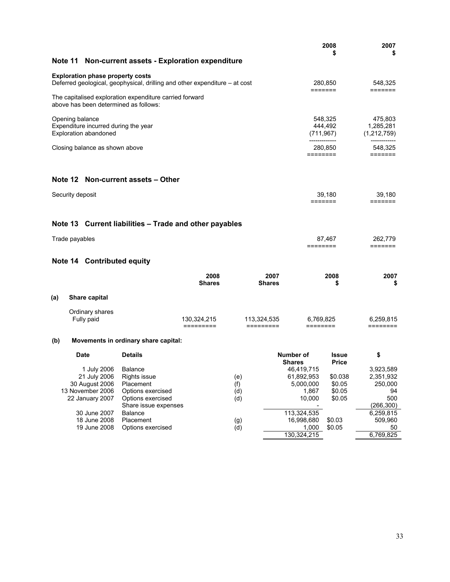|                                                                                                                       |                                                                                             |                          |                          |                                                          | 2008<br>\$                            | 2007<br>\$                                                   |
|-----------------------------------------------------------------------------------------------------------------------|---------------------------------------------------------------------------------------------|--------------------------|--------------------------|----------------------------------------------------------|---------------------------------------|--------------------------------------------------------------|
| Note 11 Non-current assets - Exploration expenditure                                                                  |                                                                                             |                          |                          |                                                          |                                       |                                                              |
| <b>Exploration phase property costs</b><br>Deferred geological, geophysical, drilling and other expenditure – at cost |                                                                                             |                          |                          |                                                          | 280,850                               | 548,325                                                      |
| The capitalised exploration expenditure carried forward<br>above has been determined as follows:                      |                                                                                             |                          |                          |                                                          | =======                               |                                                              |
| Opening balance<br>Expenditure incurred during the year<br>Exploration abandoned                                      |                                                                                             |                          |                          |                                                          | 548,325<br>444,492<br>(711, 967)      | 475,803<br>1,285,281<br>(1,212,759)                          |
| Closing balance as shown above                                                                                        |                                                                                             |                          |                          |                                                          | 280,850<br>========                   | 548,325<br>=======                                           |
| Note 12 Non-current assets – Other                                                                                    |                                                                                             |                          |                          |                                                          |                                       |                                                              |
| Security deposit                                                                                                      |                                                                                             |                          |                          |                                                          | 39.180<br>=======                     | 39,180<br>=======                                            |
| Note 13 Current liabilities - Trade and other payables                                                                |                                                                                             |                          |                          |                                                          |                                       |                                                              |
| Trade payables                                                                                                        |                                                                                             |                          |                          |                                                          | 87,467<br>========                    | 262,779<br>=======                                           |
| Note 14 Contributed equity                                                                                            |                                                                                             |                          |                          |                                                          |                                       |                                                              |
|                                                                                                                       |                                                                                             | 2008<br><b>Shares</b>    |                          | 2007<br><b>Shares</b>                                    | 2008<br>\$                            | 2007<br>\$                                                   |
| (a)<br><b>Share capital</b>                                                                                           |                                                                                             |                          |                          |                                                          |                                       |                                                              |
| Ordinary shares<br>Fully paid                                                                                         |                                                                                             | 130,324,215<br>========= | 113,324,535<br>========= | 6,769,825<br>========                                    |                                       | 6,259,815<br>========                                        |
| (b)                                                                                                                   | Movements in ordinary share capital:                                                        |                          |                          |                                                          |                                       |                                                              |
| Date                                                                                                                  | <b>Details</b>                                                                              |                          |                          | Number of<br><b>Shares</b>                               | <b>Issue</b><br><b>Price</b>          | \$                                                           |
| 1 July 2006 Balance<br>21 July 2006<br>30 August 2006<br>13 November 2006<br>22 January 2007                          | Rights issue<br>Placement<br>Options exercised<br>Options exercised<br>Share issue expenses |                          | (e)<br>(f)<br>(d)<br>(d) | 46,419,715<br>61,892,953<br>5,000,000<br>1,867<br>10,000 | \$0.038<br>\$0.05<br>\$0.05<br>\$0.05 | 3,923,589<br>2,351,932<br>250,000<br>94<br>500<br>(266, 300) |
| 30 June 2007<br>18 June 2008<br>19 June 2008                                                                          | Balance<br>Placement<br>Options exercised                                                   |                          | (g)<br>(d)               | 113,324,535<br>16,998,680<br>1,000<br>130,324,215        | \$0.03<br>\$0.05                      | 6,259,815<br>509,960<br>50<br>6,769,825                      |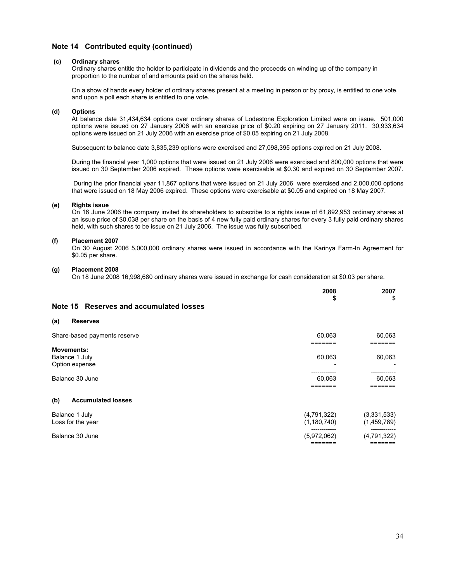## **Note 14 Contributed equity (continued)**

### **(c) Ordinary shares**

 Ordinary shares entitle the holder to participate in dividends and the proceeds on winding up of the company in proportion to the number of and amounts paid on the shares held.

 On a show of hands every holder of ordinary shares present at a meeting in person or by proxy, is entitled to one vote, and upon a poll each share is entitled to one vote.

### **(d) Options**

At balance date 31,434,634 options over ordinary shares of Lodestone Exploration Limited were on issue. 501,000 options were issued on 27 January 2006 with an exercise price of \$0.20 expiring on 27 January 2011. 30,933,634 options were issued on 21 July 2006 with an exercise price of \$0.05 expiring on 21 July 2008.

Subsequent to balance date 3,835,239 options were exercised and 27,098,395 options expired on 21 July 2008.

During the financial year 1,000 options that were issued on 21 July 2006 were exercised and 800,000 options that were issued on 30 September 2006 expired. These options were exercisable at \$0.30 and expired on 30 September 2007.

 During the prior financial year 11,867 options that were issued on 21 July 2006 were exercised and 2,000,000 options that were issued on 18 May 2006 expired. These options were exercisable at \$0.05 and expired on 18 May 2007.

### **(e) Rights issue**

On 16 June 2006 the company invited its shareholders to subscribe to a rights issue of 61,892,953 ordinary shares at an issue price of \$0.038 per share on the basis of 4 new fully paid ordinary shares for every 3 fully paid ordinary shares held, with such shares to be issue on 21 July 2006. The issue was fully subscribed.

### **(f) Placement 2007**

On 30 August 2006 5,000,000 ordinary shares were issued in accordance with the Karinya Farm-In Agreement for \$0.05 per share.

### **(g) Placement 2008**

On 18 June 2008 16,998,680 ordinary shares were issued in exchange for cash consideration at \$0.03 per share.

|                                                       | 2008<br>\$                   | 2007<br>\$                 |
|-------------------------------------------------------|------------------------------|----------------------------|
| Note 15 Reserves and accumulated losses               |                              |                            |
| (a)<br><b>Reserves</b>                                |                              |                            |
| Share-based payments reserve                          | 60,063<br>=======            | 60,063                     |
| <b>Movements:</b><br>Balance 1 July<br>Option expense | 60,063                       | 60,063                     |
| Balance 30 June                                       | 60,063                       | 60,063                     |
| <b>Accumulated losses</b><br>(b)                      |                              |                            |
| Balance 1 July<br>Loss for the year                   | (4,791,322)<br>(1, 180, 740) | (3,331,533)<br>(1,459,789) |
| Balance 30 June                                       | (5,972,062)                  | (4,791,322)                |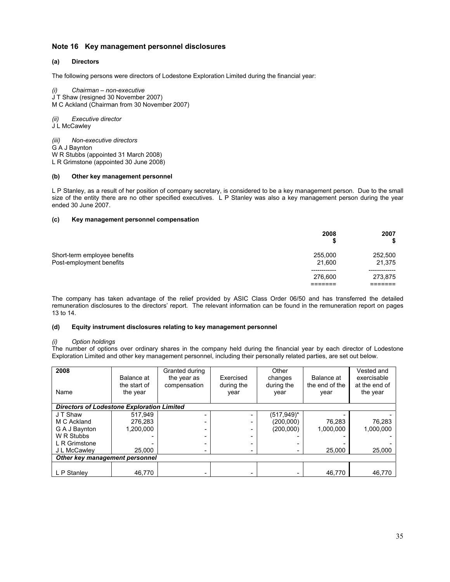## **Note 16 Key management personnel disclosures**

### **(a) Directors**

The following persons were directors of Lodestone Exploration Limited during the financial year:

*(i) Chairman – non-executive*  J T Shaw (resigned 30 November 2007) M C Ackland (Chairman from 30 November 2007)

*(ii) Executive director* 

J L McCawley

*(iii) Non-executive directors*  G A J Baynton W R Stubbs (appointed 31 March 2008) L R Grimstone (appointed 30 June 2008)

### **(b) Other key management personnel**

L P Stanley, as a result of her position of company secretary, is considered to be a key management person. Due to the small size of the entity there are no other specified executives. L P Stanley was also a key management person during the year ended 30 June 2007.

### **(c) Key management personnel compensation**

|                                                          | 2008                  | 2007<br>\$        |
|----------------------------------------------------------|-----------------------|-------------------|
| Short-term employee benefits<br>Post-employment benefits | 255,000<br>21.600     | 252,500<br>21,375 |
|                                                          | ----------<br>276,600 | 273,875           |

The company has taken advantage of the relief provided by ASIC Class Order 06/50 and has transferred the detailed remuneration disclosures to the directors' report. The relevant information can be found in the remuneration report on pages 13 to 14.

### **(d) Equity instrument disclosures relating to key management personnel**

### *(i) Option holdings*

The number of options over ordinary shares in the company held during the financial year by each director of Lodestone Exploration Limited and other key management personnel, including their personally related parties, are set out below.

| 2008<br>Name                                      | Balance at<br>the start of<br>the year | Granted during<br>the year as<br>compensation | Exercised<br>during the<br>year | Other<br>changes<br>during the<br>year | Balance at<br>the end of the<br>vear | Vested and<br>exercisable<br>at the end of<br>the year |
|---------------------------------------------------|----------------------------------------|-----------------------------------------------|---------------------------------|----------------------------------------|--------------------------------------|--------------------------------------------------------|
| <b>Directors of Lodestone Exploration Limited</b> |                                        |                                               |                                 |                                        |                                      |                                                        |
| J T Shaw                                          | 517.949                                |                                               |                                 | (517,949)*                             |                                      |                                                        |
| M C Ackland                                       | 276.283                                |                                               |                                 | (200,000)                              | 76,283                               | 76,283                                                 |
| G A J Baynton                                     | 1.200.000                              |                                               |                                 | (200.000)                              | 1.000.000                            | 1.000.000                                              |
| W R Stubbs                                        |                                        |                                               |                                 |                                        |                                      |                                                        |
| L R Grimstone                                     |                                        |                                               |                                 |                                        |                                      |                                                        |
| J L McCawley                                      | 25,000                                 |                                               |                                 |                                        | 25,000                               | 25,000                                                 |
| Other key management personnel                    |                                        |                                               |                                 |                                        |                                      |                                                        |
|                                                   |                                        |                                               |                                 |                                        |                                      |                                                        |
| L P Stanley                                       | 46.770                                 |                                               |                                 |                                        | 46.770                               | 46.770                                                 |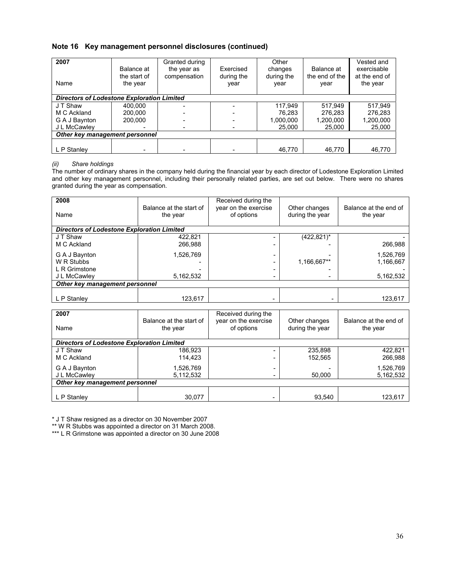## **Note 16 Key management personnel disclosures (continued)**

| 2007<br>Name                                      | Balance at<br>the start of<br>the year | Granted during<br>the year as<br>compensation | Exercised<br>during the<br>year | Other<br>changes<br>during the<br>year | Balance at<br>the end of the<br>year | Vested and<br>exercisable<br>at the end of<br>the year |
|---------------------------------------------------|----------------------------------------|-----------------------------------------------|---------------------------------|----------------------------------------|--------------------------------------|--------------------------------------------------------|
| <b>Directors of Lodestone Exploration Limited</b> |                                        |                                               |                                 |                                        |                                      |                                                        |
| J T Shaw                                          | 400.000                                |                                               |                                 | 117.949                                | 517.949                              | 517,949                                                |
| M C Ackland                                       | 200.000                                |                                               |                                 | 76.283                                 | 276.283                              | 276.283                                                |
| G A J Baynton                                     | 200,000                                |                                               |                                 | 1,000,000                              | 1,200,000                            | 1,200,000                                              |
| J L McCawley                                      |                                        |                                               |                                 | 25,000                                 | 25,000                               | 25,000                                                 |
| Other key management personnel                    |                                        |                                               |                                 |                                        |                                      |                                                        |
|                                                   |                                        |                                               |                                 |                                        |                                      |                                                        |
| L P Stanley                                       |                                        |                                               |                                 | 46.770                                 | 46.770                               | 46.770                                                 |

### *(ii) Share holdings*

The number of ordinary shares in the company held during the financial year by each director of Lodestone Exploration Limited and other key management personnel, including their personally related parties, are set out below. There were no shares granted during the year as compensation.

| 2008<br>Name                                      | Balance at the start of<br>the year | Received during the<br>year on the exercise<br>of options | Other changes<br>during the year | Balance at the end of<br>the year |  |
|---------------------------------------------------|-------------------------------------|-----------------------------------------------------------|----------------------------------|-----------------------------------|--|
| <b>Directors of Lodestone Exploration Limited</b> |                                     |                                                           |                                  |                                   |  |
| J T Shaw                                          | 422.821                             |                                                           | $(422, 821)^*$                   |                                   |  |
| M C Ackland                                       | 266.988                             |                                                           |                                  | 266.988                           |  |
| G A J Baynton                                     | 1,526,769                           | -                                                         |                                  | 1.526.769                         |  |
| W R Stubbs                                        |                                     |                                                           | 1,166,667**                      | 1.166.667                         |  |
| L R Grimstone                                     |                                     |                                                           |                                  |                                   |  |
| J L McCawley                                      | 5,162,532                           |                                                           |                                  | 5.162,532                         |  |
| Other key management personnel                    |                                     |                                                           |                                  |                                   |  |
| L P Stanley                                       | 123,617                             | ۰                                                         |                                  | 123,617                           |  |
|                                                   |                                     |                                                           |                                  |                                   |  |

| 2007<br>Name                                      | Balance at the start of<br>the year | Received during the<br>year on the exercise<br>of options | Other changes<br>during the year | Balance at the end of<br>the year |  |
|---------------------------------------------------|-------------------------------------|-----------------------------------------------------------|----------------------------------|-----------------------------------|--|
| <b>Directors of Lodestone Exploration Limited</b> |                                     |                                                           |                                  |                                   |  |
| J T Shaw                                          | 186.923                             | ۰                                                         | 235,898                          | 422,821                           |  |
| M C Ackland                                       | 114.423                             | -                                                         | 152.565                          | 266,988                           |  |
| G A J Baynton                                     | 1,526,769                           | $\overline{\phantom{0}}$                                  |                                  | 1,526,769                         |  |
| J L McCawley                                      | 5,112,532                           | -                                                         | 50.000                           | 5,162,532                         |  |
| Other key management personnel                    |                                     |                                                           |                                  |                                   |  |
|                                                   |                                     |                                                           |                                  |                                   |  |
| L P Stanley                                       | 30,077                              | -                                                         | 93,540                           | 123,617                           |  |

\* J T Shaw resigned as a director on 30 November 2007

\*\* W R Stubbs was appointed a director on 31 March 2008.

\*\*\* L R Grimstone was appointed a director on 30 June 2008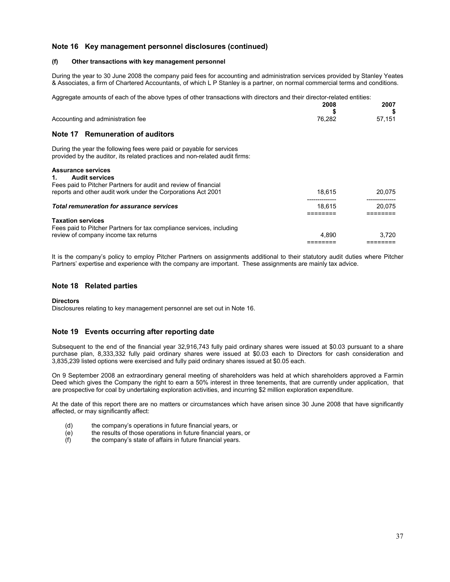## **Note 16 Key management personnel disclosures (continued)**

### **(f) Other transactions with key management personnel**

During the year to 30 June 2008 the company paid fees for accounting and administration services provided by Stanley Yeates & Associates, a firm of Chartered Accountants, of which L P Stanley is a partner, on normal commercial terms and conditions.

Aggregate amounts of each of the above types of other transactions with directors and their director-related entities:

|                                                                                                                                                     | 2008   | 2007   |
|-----------------------------------------------------------------------------------------------------------------------------------------------------|--------|--------|
| Accounting and administration fee                                                                                                                   | 76,282 | 57,151 |
| Note 17 Remuneration of auditors                                                                                                                    |        |        |
| During the year the following fees were paid or payable for services<br>provided by the auditor, its related practices and non-related audit firms: |        |        |
| <b>Assurance services</b><br><b>Audit services</b><br>1.                                                                                            |        |        |
| Fees paid to Pitcher Partners for audit and review of financial                                                                                     |        |        |
| reports and other audit work under the Corporations Act 2001                                                                                        | 18.615 | 20,075 |
|                                                                                                                                                     |        |        |
| <b>Total remuneration for assurance services</b>                                                                                                    | 18.615 | 20.075 |
|                                                                                                                                                     |        |        |
| <b>Taxation services</b>                                                                                                                            |        |        |
| Fees paid to Pitcher Partners for tax compliance services, including                                                                                |        |        |
| review of company income tax returns                                                                                                                | 4.890  | 3.720  |
|                                                                                                                                                     |        |        |

It is the company's policy to employ Pitcher Partners on assignments additional to their statutory audit duties where Pitcher Partners' expertise and experience with the company are important. These assignments are mainly tax advice.

### **Note 18 Related parties**

#### **Directors**

Disclosures relating to key management personnel are set out in Note 16.

## **Note 19 Events occurring after reporting date**

Subsequent to the end of the financial year 32,916,743 fully paid ordinary shares were issued at \$0.03 pursuant to a share purchase plan, 8,333,332 fully paid ordinary shares were issued at \$0.03 each to Directors for cash consideration and 3,835,239 listed options were exercised and fully paid ordinary shares issued at \$0.05 each.

On 9 September 2008 an extraordinary general meeting of shareholders was held at which shareholders approved a Farmin Deed which gives the Company the right to earn a 50% interest in three tenements, that are currently under application, that are prospective for coal by undertaking exploration activities, and incurring \$2 million exploration expenditure.

At the date of this report there are no matters or circumstances which have arisen since 30 June 2008 that have significantly affected, or may significantly affect:

- (d) the company's operations in future financial years, or
- (e) the results of those operations in future financial years, or
- (f) the company's state of affairs in future financial years.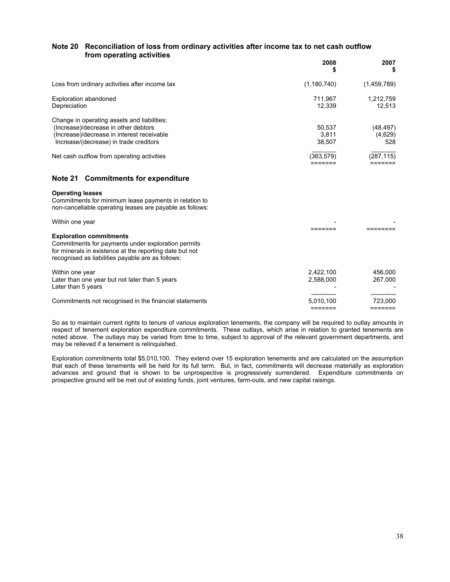## **Note 20 Reconciliation of loss from ordinary activities after income tax to net cash outflow from operating activities**

|                                                                                                                                                                             | 2008<br>S                 | 2007<br>\$                  |
|-----------------------------------------------------------------------------------------------------------------------------------------------------------------------------|---------------------------|-----------------------------|
| Loss from ordinary activities after income tax                                                                                                                              | (1,180,740)               | (1,459,789)                 |
| Exploration abandoned<br>Depreciation                                                                                                                                       | 711.967<br>12.339         | 1,212,759<br>12.513         |
| Change in operating assets and liabilities:<br>(Increase)/decrease in other debtors<br>(Increase)/decrease in interest receivable<br>Increase/(decrease) in trade creditors | 50.537<br>3.811<br>38.507 | (48, 497)<br>(4,629)<br>528 |
| Net cash outflow from operating activities                                                                                                                                  | (363,579)                 | (287, 115)                  |

## **Note 21 Commitments for expenditure**

### **Operating leases**

Commitments for minimum lease payments in relation to non-cancellable operating leases are payable as follows:

| Within one year                                                                                                                                                                                      |                        |                    |
|------------------------------------------------------------------------------------------------------------------------------------------------------------------------------------------------------|------------------------|--------------------|
| <b>Exploration commitments</b><br>Commitments for payments under exploration permits<br>for minerals in existence at the reporting date but not<br>recognised as liabilities payable are as follows: |                        |                    |
| Within one year<br>Later than one year but not later than 5 years<br>Later than 5 years                                                                                                              | 2.422.100<br>2,588,000 | 456.000<br>267.000 |
| Commitments not recognised in the financial statements                                                                                                                                               | 5,010,100              | 723.000            |

So as to maintain current rights to tenure of various exploration tenements, the company will be required to outlay amounts in respect of tenement exploration expenditure commitments. These outlays, which arise in relation to granted tenements are noted above. The outlays may be varied from time to time, subject to approval of the relevant government departments, and may be relieved if a tenement is relinquished.

Exploration commitments total \$5,010,100. They extend over 15 exploration tenements and are calculated on the assumption that each of these tenements will be held for its full term. But, in fact, commitments will decrease materially as exploration advances and ground that is shown to be unprospective is progressively surrendered. Expenditure commitments on prospective ground will be met out of existing funds, joint ventures, farm-outs, and new capital raisings.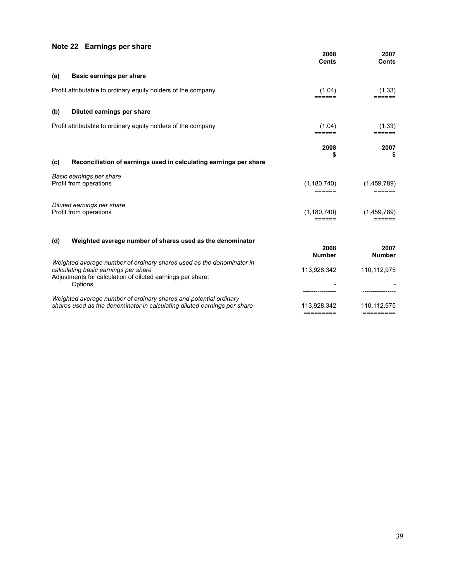# **Note 22 Earnings per share**

|     |                                                                                                                                                                                        | 2008<br><b>Cents</b>     | 2007<br><b>Cents</b>     |
|-----|----------------------------------------------------------------------------------------------------------------------------------------------------------------------------------------|--------------------------|--------------------------|
| (a) | Basic earnings per share                                                                                                                                                               |                          |                          |
|     | Profit attributable to ordinary equity holders of the company                                                                                                                          | (1.04)                   | (1.33)                   |
| (b) | Diluted earnings per share                                                                                                                                                             |                          |                          |
|     | Profit attributable to ordinary equity holders of the company                                                                                                                          | (1.04)<br>======         | (1.33)<br>======         |
|     |                                                                                                                                                                                        | 2008<br>\$               | 2007<br>\$               |
| (c) | Reconciliation of earnings used in calculating earnings per share                                                                                                                      |                          |                          |
|     | Basic earnings per share<br>Profit from operations                                                                                                                                     | (1, 180, 740)<br>======  | (1,459,789)<br>======    |
|     | Diluted earnings per share<br>Profit from operations                                                                                                                                   | (1, 180, 740)<br>======  | (1,459,789)<br>======    |
| (d) | Weighted average number of shares used as the denominator                                                                                                                              | 2008<br><b>Number</b>    | 2007<br><b>Number</b>    |
|     | Weighted average number of ordinary shares used as the denominator in<br>calculating basic earnings per share<br>Adjustments for calculation of diluted earnings per share:<br>Options | 113,928,342              | 110,112,975              |
|     | Weighted average number of ordinary shares and potential ordinary<br>shares used as the denominator in calculating diluted earnings per share                                          | 113,928,342<br>========= | 110,112,975<br>========= |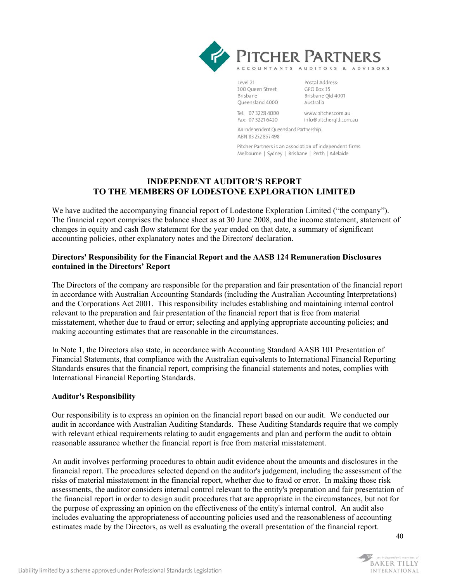

Level 21 300 Queen Street Brisbane Queensland 4000

Postal Address: GPO Box 35 Brisbane Old 4001 Australia

Tel: 07 3228 4000 Fax: 07 3221 6420

www.pitcher.com.au info@pitchergld.com.au

An Independent Queensland Partnership. ABN 83 252 867 498

Pitcher Partners is an association of independent firms Melbourne | Sydney | Brisbane | Perth | Adelaide

## **INDEPENDENT AUDITOR'S REPORT TO THE MEMBERS OF LODESTONE EXPLORATION LIMITED**

We have audited the accompanying financial report of Lodestone Exploration Limited ("the company"). The financial report comprises the balance sheet as at 30 June 2008, and the income statement, statement of changes in equity and cash flow statement for the year ended on that date, a summary of significant accounting policies, other explanatory notes and the Directors' declaration.

## **Directors' Responsibility for the Financial Report and the AASB 124 Remuneration Disclosures contained in the Directors' Report**

The Directors of the company are responsible for the preparation and fair presentation of the financial report in accordance with Australian Accounting Standards (including the Australian Accounting Interpretations) and the Corporations Act 2001. This responsibility includes establishing and maintaining internal control relevant to the preparation and fair presentation of the financial report that is free from material misstatement, whether due to fraud or error; selecting and applying appropriate accounting policies; and making accounting estimates that are reasonable in the circumstances.

In Note 1, the Directors also state, in accordance with Accounting Standard AASB 101 Presentation of Financial Statements, that compliance with the Australian equivalents to International Financial Reporting Standards ensures that the financial report, comprising the financial statements and notes, complies with International Financial Reporting Standards.

## **Auditor's Responsibility**

Our responsibility is to express an opinion on the financial report based on our audit. We conducted our audit in accordance with Australian Auditing Standards. These Auditing Standards require that we comply with relevant ethical requirements relating to audit engagements and plan and perform the audit to obtain reasonable assurance whether the financial report is free from material misstatement.

An audit involves performing procedures to obtain audit evidence about the amounts and disclosures in the financial report. The procedures selected depend on the auditor's judgement, including the assessment of the risks of material misstatement in the financial report, whether due to fraud or error. In making those risk assessments, the auditor considers internal control relevant to the entity's preparation and fair presentation of the financial report in order to design audit procedures that are appropriate in the circumstances, but not for the purpose of expressing an opinion on the effectiveness of the entity's internal control. An audit also includes evaluating the appropriateness of accounting policies used and the reasonableness of accounting estimates made by the Directors, as well as evaluating the overall presentation of the financial report.

40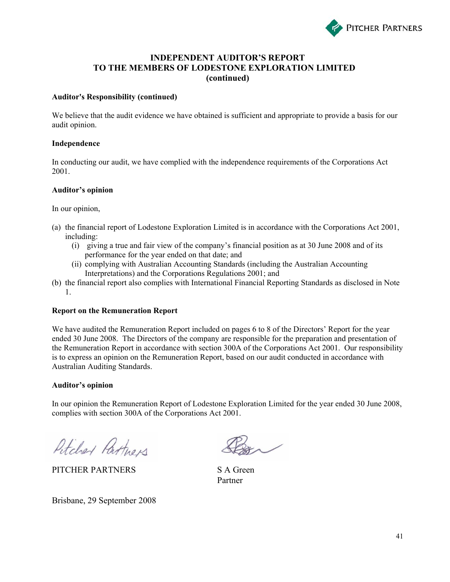

## **INDEPENDENT AUDITOR'S REPORT TO THE MEMBERS OF LODESTONE EXPLORATION LIMITED (continued)**

## **Auditor's Responsibility (continued)**

We believe that the audit evidence we have obtained is sufficient and appropriate to provide a basis for our audit opinion.

## **Independence**

In conducting our audit, we have complied with the independence requirements of the Corporations Act 2001.

## **Auditor's opinion**

In our opinion,

- (a) the financial report of Lodestone Exploration Limited is in accordance with the Corporations Act 2001, including:
	- (i) giving a true and fair view of the company's financial position as at 30 June 2008 and of its performance for the year ended on that date; and
	- (ii) complying with Australian Accounting Standards (including the Australian Accounting Interpretations) and the Corporations Regulations 2001; and
- (b) the financial report also complies with International Financial Reporting Standards as disclosed in Note 1.

## **Report on the Remuneration Report**

We have audited the Remuneration Report included on pages 6 to 8 of the Directors' Report for the year ended 30 June 2008. The Directors of the company are responsible for the preparation and presentation of the Remuneration Report in accordance with section 300A of the Corporations Act 2001. Our responsibility is to express an opinion on the Remuneration Report, based on our audit conducted in accordance with Australian Auditing Standards.

## **Auditor's opinion**

In our opinion the Remuneration Report of Lodestone Exploration Limited for the year ended 30 June 2008, complies with section 300A of the Corporations Act 2001.

Pitcher Partners

PITCHER PARTNERS S A Green

Brisbane, 29 September 2008

Partner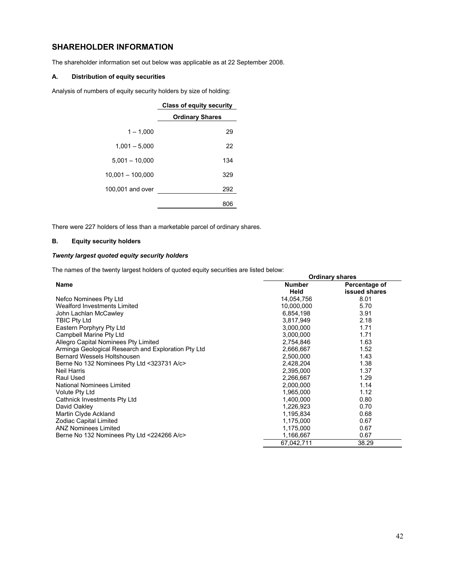## **SHAREHOLDER INFORMATION**

The shareholder information set out below was applicable as at 22 September 2008.

## **A. Distribution of equity securities**

Analysis of numbers of equity security holders by size of holding:

|                    | <b>Class of equity security</b> |  |
|--------------------|---------------------------------|--|
|                    | <b>Ordinary Shares</b>          |  |
| $1 - 1.000$        | 29                              |  |
| $1,001 - 5,000$    | 22                              |  |
| $5,001 - 10,000$   | 134                             |  |
| $10,001 - 100,000$ | 329                             |  |
| 100,001 and over   | 292                             |  |
|                    | 806                             |  |

There were 227 holders of less than a marketable parcel of ordinary shares.

## **B. Equity security holders**

## *Twenty largest quoted equity security holders*

The names of the twenty largest holders of quoted equity securities are listed below:

|                                                     |               | <b>Ordinary shares</b> |
|-----------------------------------------------------|---------------|------------------------|
| <b>Name</b>                                         | <b>Number</b> | Percentage of          |
|                                                     | Held          | issued shares          |
| Nefco Nominees Pty Ltd                              | 14,054,756    | 8.01                   |
| Wealford Investments Limited                        | 10,000,000    | 5.70                   |
| John Lachlan McCawley                               | 6,854,198     | 3.91                   |
| <b>TBIC Pty Ltd</b>                                 | 3,817,949     | 2.18                   |
| Eastern Porphyry Pty Ltd                            | 3,000,000     | 1.71                   |
| Campbell Marine Pty Ltd                             | 3,000,000     | 1.71                   |
| Allegro Capital Nominees Pty Limited                | 2,754,846     | 1.63                   |
| Arminga Geological Research and Exploration Pty Ltd | 2,666,667     | 1.52                   |
| <b>Bernard Wessels Holtshousen</b>                  | 2,500,000     | 1.43                   |
| Berne No 132 Nominees Pty Ltd <323731 A/c>          | 2,428,204     | 1.38                   |
| Neil Harris                                         | 2,395,000     | 1.37                   |
| Raul Used                                           | 2,266,667     | 1.29                   |
| <b>National Nominees Limited</b>                    | 2,000,000     | 1.14                   |
| <b>Volute Pty Ltd</b>                               | 1,965,000     | 1.12                   |
| Cathnick Investments Pty Ltd                        | 1,400,000     | 0.80                   |
| David Oakley                                        | 1,226,923     | 0.70                   |
| Martin Clyde Ackland                                | 1,195,834     | 0.68                   |
| Zodiac Capital Limited                              | 1,175,000     | 0.67                   |
| <b>ANZ Nominees Limited</b>                         | 1,175,000     | 0.67                   |
| Berne No 132 Nominees Pty Ltd <224266 A/c>          | 1,166,667     | 0.67                   |
|                                                     | 67.042.711    | 38.29                  |